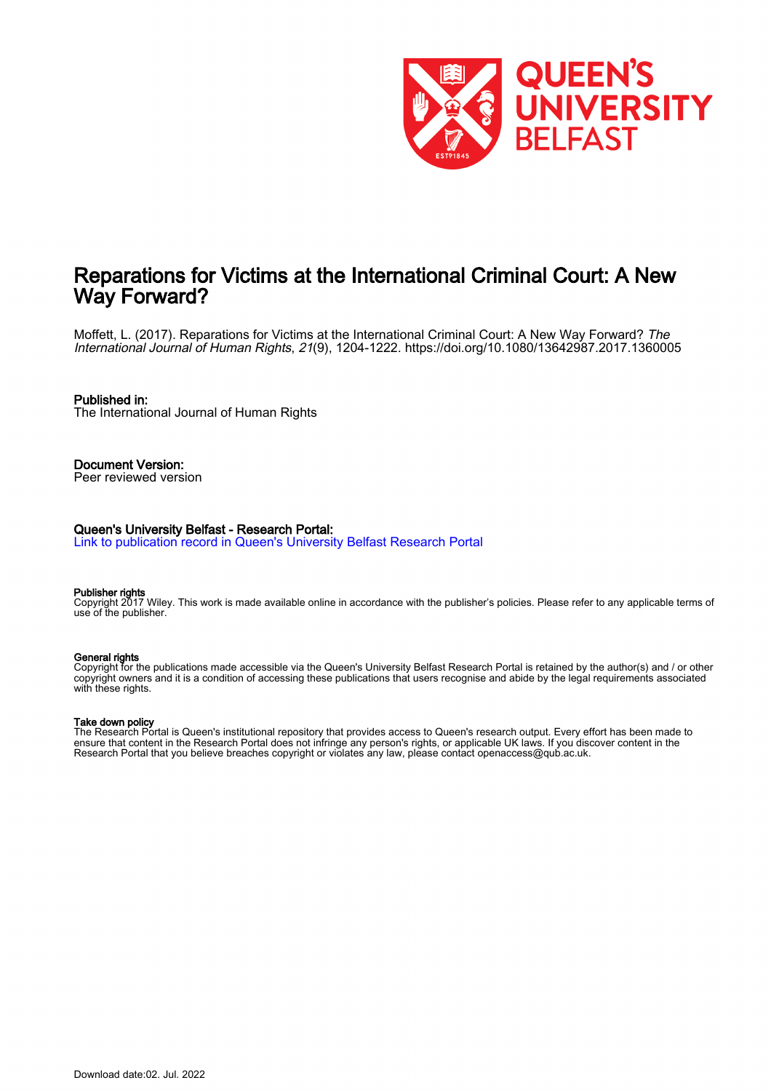

## Reparations for Victims at the International Criminal Court: A New Way Forward?

Moffett, L. (2017). Reparations for Victims at the International Criminal Court: A New Way Forward? The International Journal of Human Rights, 21(9), 1204-1222. <https://doi.org/10.1080/13642987.2017.1360005>

#### Published in:

The International Journal of Human Rights

#### Document Version: Peer reviewed version

#### Queen's University Belfast - Research Portal:

[Link to publication record in Queen's University Belfast Research Portal](https://pure.qub.ac.uk/en/publications/bccd99ac-ad0b-494b-bdd5-32bd63faf91f)

#### Publisher rights

Copyright 2017 Wiley. This work is made available online in accordance with the publisher's policies. Please refer to any applicable terms of use of the publisher.

#### General rights

Copyright for the publications made accessible via the Queen's University Belfast Research Portal is retained by the author(s) and / or other copyright owners and it is a condition of accessing these publications that users recognise and abide by the legal requirements associated with these rights.

#### Take down policy

The Research Portal is Queen's institutional repository that provides access to Queen's research output. Every effort has been made to ensure that content in the Research Portal does not infringe any person's rights, or applicable UK laws. If you discover content in the Research Portal that you believe breaches copyright or violates any law, please contact openaccess@qub.ac.uk.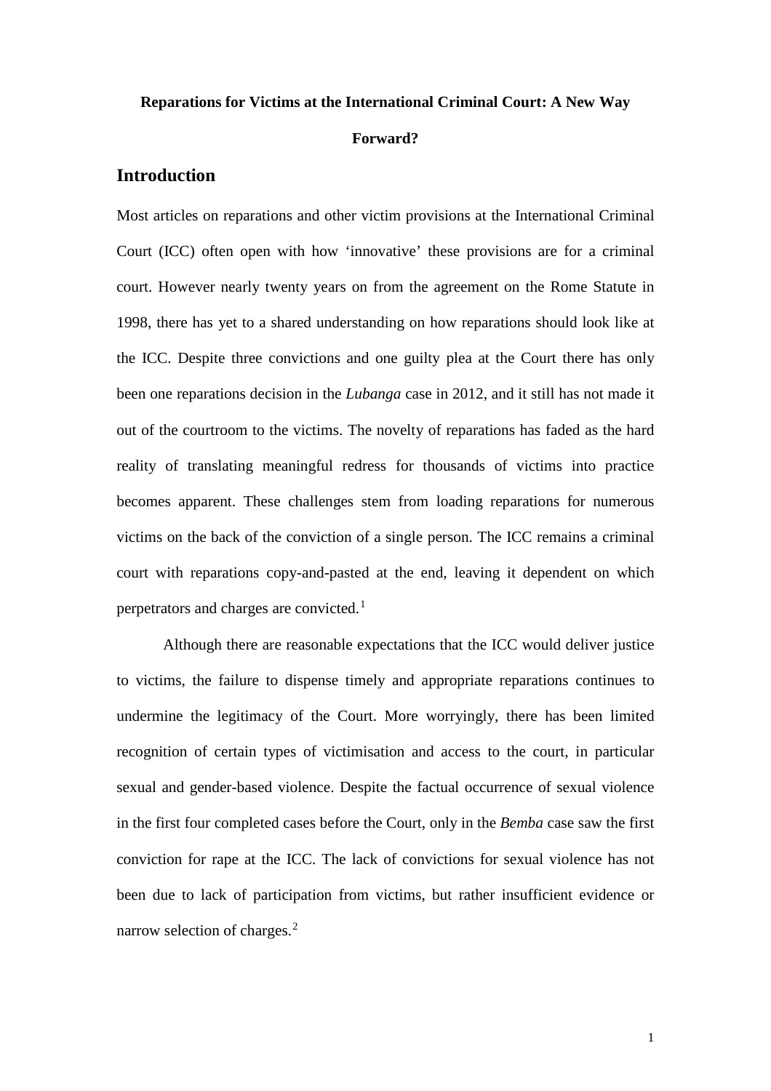# **Reparations for Victims at the International Criminal Court: A New Way Forward?**

## **Introduction**

Most articles on reparations and other victim provisions at the International Criminal Court (ICC) often open with how 'innovative' these provisions are for a criminal court. However nearly twenty years on from the agreement on the Rome Statute in 1998, there has yet to a shared understanding on how reparations should look like at the ICC. Despite three convictions and one guilty plea at the Court there has only been one reparations decision in the *Lubanga* case in 2012, and it still has not made it out of the courtroom to the victims. The novelty of reparations has faded as the hard reality of translating meaningful redress for thousands of victims into practice becomes apparent. These challenges stem from loading reparations for numerous victims on the back of the conviction of a single person. The ICC remains a criminal court with reparations copy-and-pasted at the end, leaving it dependent on which perpetrators and charges are convicted.[1](#page-5-0)

Although there are reasonable expectations that the ICC would deliver justice to victims, the failure to dispense timely and appropriate reparations continues to undermine the legitimacy of the Court. More worryingly, there has been limited recognition of certain types of victimisation and access to the court, in particular sexual and gender-based violence. Despite the factual occurrence of sexual violence in the first four completed cases before the Court, only in the *Bemba* case saw the first conviction for rape at the ICC. The lack of convictions for sexual violence has not been due to lack of participation from victims, but rather insufficient evidence or narrow selection of charges.<sup>[2](#page-5-1)</sup>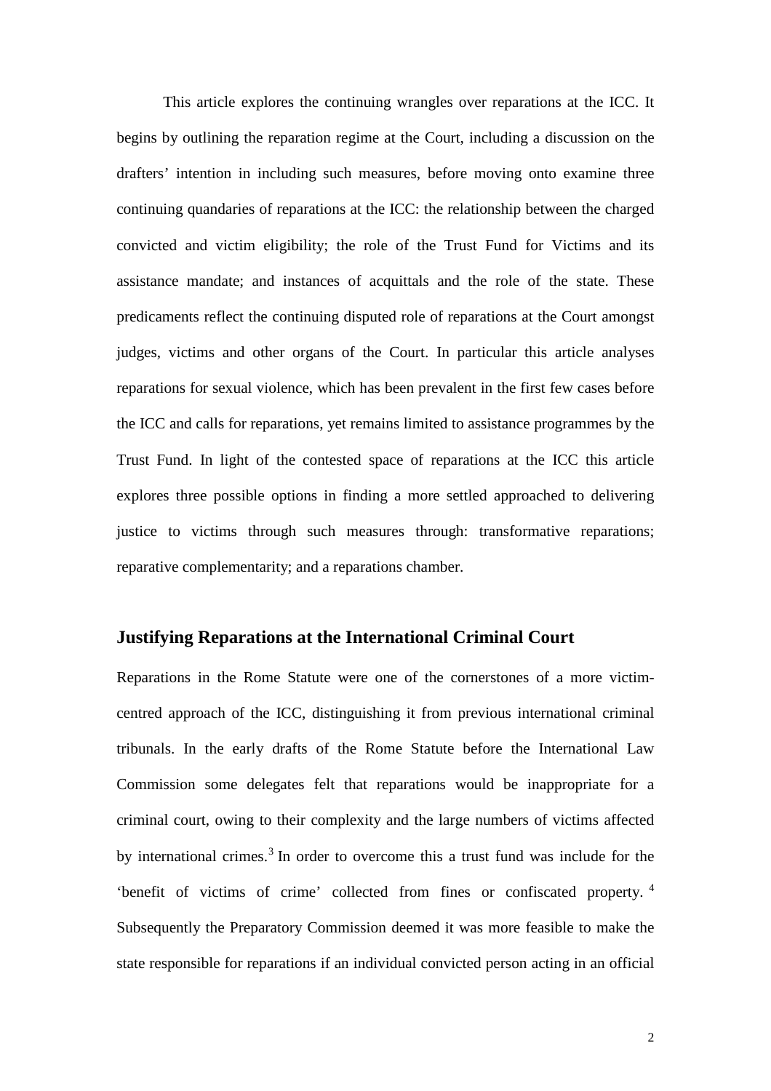This article explores the continuing wrangles over reparations at the ICC. It begins by outlining the reparation regime at the Court, including a discussion on the drafters' intention in including such measures, before moving onto examine three continuing quandaries of reparations at the ICC: the relationship between the charged convicted and victim eligibility; the role of the Trust Fund for Victims and its assistance mandate; and instances of acquittals and the role of the state. These predicaments reflect the continuing disputed role of reparations at the Court amongst judges, victims and other organs of the Court. In particular this article analyses reparations for sexual violence, which has been prevalent in the first few cases before the ICC and calls for reparations, yet remains limited to assistance programmes by the Trust Fund. In light of the contested space of reparations at the ICC this article explores three possible options in finding a more settled approached to delivering justice to victims through such measures through: transformative reparations; reparative complementarity; and a reparations chamber.

## **Justifying Reparations at the International Criminal Court**

Reparations in the Rome Statute were one of the cornerstones of a more victimcentred approach of the ICC, distinguishing it from previous international criminal tribunals. In the early drafts of the Rome Statute before the International Law Commission some delegates felt that reparations would be inappropriate for a criminal court, owing to their complexity and the large numbers of victims affected by international crimes.<sup>[3](#page-6-0)</sup> In order to overcome this a trust fund was include for the 'benefit of victims of crime' collected from fines or confiscated property. [4](#page-6-1) Subsequently the Preparatory Commission deemed it was more feasible to make the state responsible for reparations if an individual convicted person acting in an official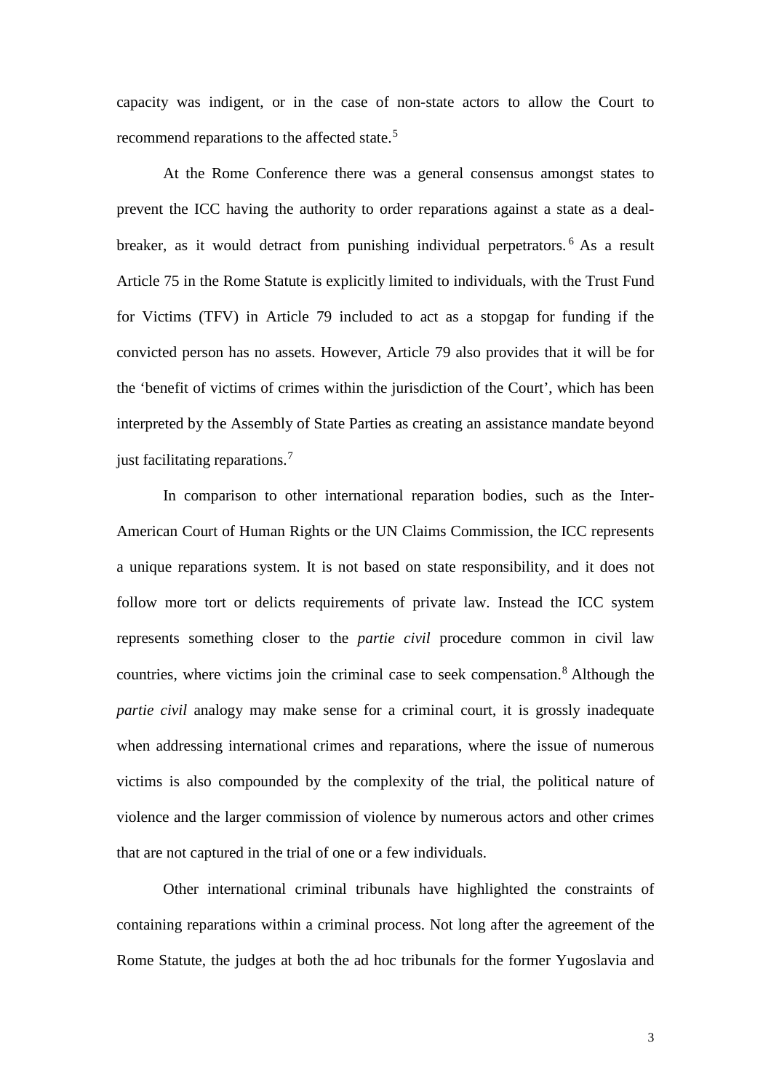capacity was indigent, or in the case of non-state actors to allow the Court to recommend reparations to the affected state.<sup>[5](#page-7-0)</sup>

At the Rome Conference there was a general consensus amongst states to prevent the ICC having the authority to order reparations against a state as a deal-breaker, as it would detract from punishing individual perpetrators.<sup>[6](#page-7-1)</sup> As a result Article 75 in the Rome Statute is explicitly limited to individuals, with the Trust Fund for Victims (TFV) in Article 79 included to act as a stopgap for funding if the convicted person has no assets. However, Article 79 also provides that it will be for the 'benefit of victims of crimes within the jurisdiction of the Court', which has been interpreted by the Assembly of State Parties as creating an assistance mandate beyond just facilitating reparations.<sup>[7](#page-7-2)</sup>

In comparison to other international reparation bodies, such as the Inter-American Court of Human Rights or the UN Claims Commission, the ICC represents a unique reparations system. It is not based on state responsibility, and it does not follow more tort or delicts requirements of private law. Instead the ICC system represents something closer to the *partie civil* procedure common in civil law countries, where victims join the criminal case to seek compensation.<sup>[8](#page-7-3)</sup> Although the *partie civil* analogy may make sense for a criminal court, it is grossly inadequate when addressing international crimes and reparations, where the issue of numerous victims is also compounded by the complexity of the trial, the political nature of violence and the larger commission of violence by numerous actors and other crimes that are not captured in the trial of one or a few individuals.

Other international criminal tribunals have highlighted the constraints of containing reparations within a criminal process. Not long after the agreement of the Rome Statute, the judges at both the ad hoc tribunals for the former Yugoslavia and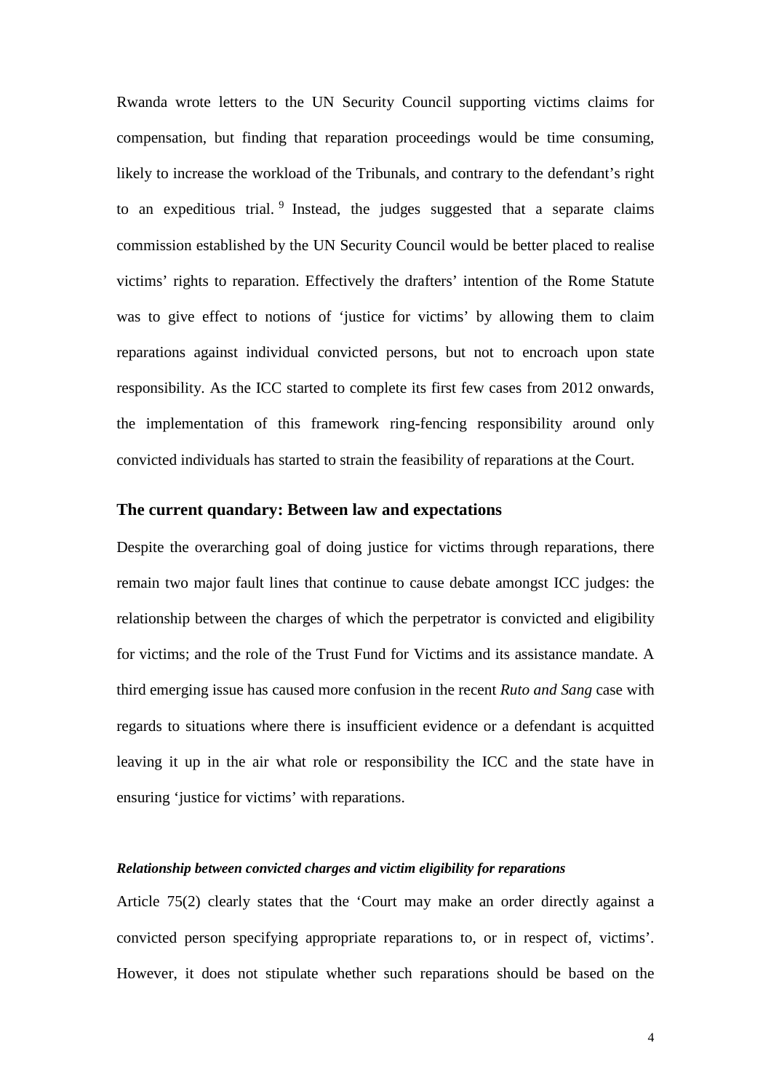Rwanda wrote letters to the UN Security Council supporting victims claims for compensation, but finding that reparation proceedings would be time consuming, likely to increase the workload of the Tribunals, and contrary to the defendant's right to an expeditious trial.  $9$  Instead, the judges suggested that a separate claims commission established by the UN Security Council would be better placed to realise victims' rights to reparation. Effectively the drafters' intention of the Rome Statute was to give effect to notions of 'justice for victims' by allowing them to claim reparations against individual convicted persons, but not to encroach upon state responsibility. As the ICC started to complete its first few cases from 2012 onwards, the implementation of this framework ring-fencing responsibility around only convicted individuals has started to strain the feasibility of reparations at the Court.

## **The current quandary: Between law and expectations**

Despite the overarching goal of doing justice for victims through reparations, there remain two major fault lines that continue to cause debate amongst ICC judges: the relationship between the charges of which the perpetrator is convicted and eligibility for victims; and the role of the Trust Fund for Victims and its assistance mandate. A third emerging issue has caused more confusion in the recent *Ruto and Sang* case with regards to situations where there is insufficient evidence or a defendant is acquitted leaving it up in the air what role or responsibility the ICC and the state have in ensuring 'justice for victims' with reparations.

#### *Relationship between convicted charges and victim eligibility for reparations*

Article 75(2) clearly states that the 'Court may make an order directly against a convicted person specifying appropriate reparations to, or in respect of, victims'. However, it does not stipulate whether such reparations should be based on the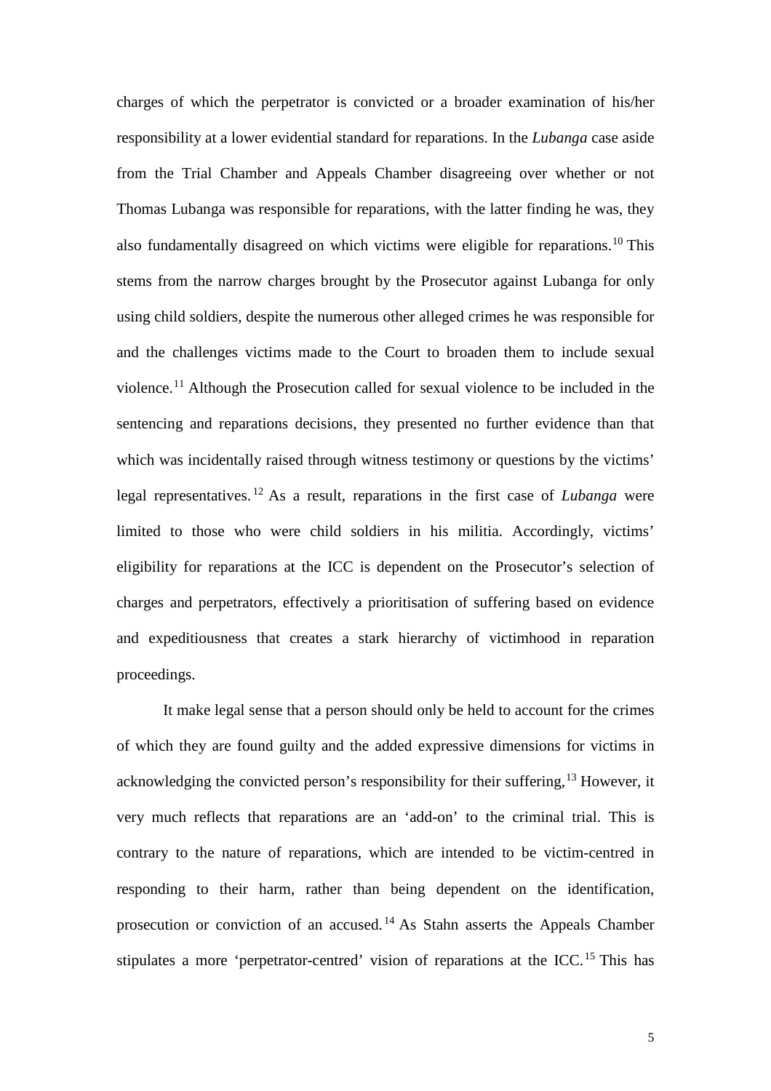charges of which the perpetrator is convicted or a broader examination of his/her responsibility at a lower evidential standard for reparations. In the *Lubanga* case aside from the Trial Chamber and Appeals Chamber disagreeing over whether or not Thomas Lubanga was responsible for reparations, with the latter finding he was, they also fundamentally disagreed on which victims were eligible for reparations.[10](#page-8-1) This stems from the narrow charges brought by the Prosecutor against Lubanga for only using child soldiers, despite the numerous other alleged crimes he was responsible for and the challenges victims made to the Court to broaden them to include sexual violence.[11](#page-8-2) Although the Prosecution called for sexual violence to be included in the sentencing and reparations decisions, they presented no further evidence than that which was incidentally raised through witness testimony or questions by the victims' legal representatives. [12](#page-8-3) As a result, reparations in the first case of *Lubanga* were limited to those who were child soldiers in his militia. Accordingly, victims' eligibility for reparations at the ICC is dependent on the Prosecutor's selection of charges and perpetrators, effectively a prioritisation of suffering based on evidence and expeditiousness that creates a stark hierarchy of victimhood in reparation proceedings.

<span id="page-5-1"></span><span id="page-5-0"></span>It make legal sense that a person should only be held to account for the crimes of which they are found guilty and the added expressive dimensions for victims in acknowledging the convicted person's responsibility for their suffering,  $^{13}$  $^{13}$  $^{13}$  However, it very much reflects that reparations are an 'add-on' to the criminal trial. This is contrary to the nature of reparations, which are intended to be victim-centred in responding to their harm, rather than being dependent on the identification, prosecution or conviction of an accused. [14](#page-8-5) As Stahn asserts the Appeals Chamber stipulates a more 'perpetrator-centred' vision of reparations at the ICC.<sup>[15](#page-8-6)</sup> This has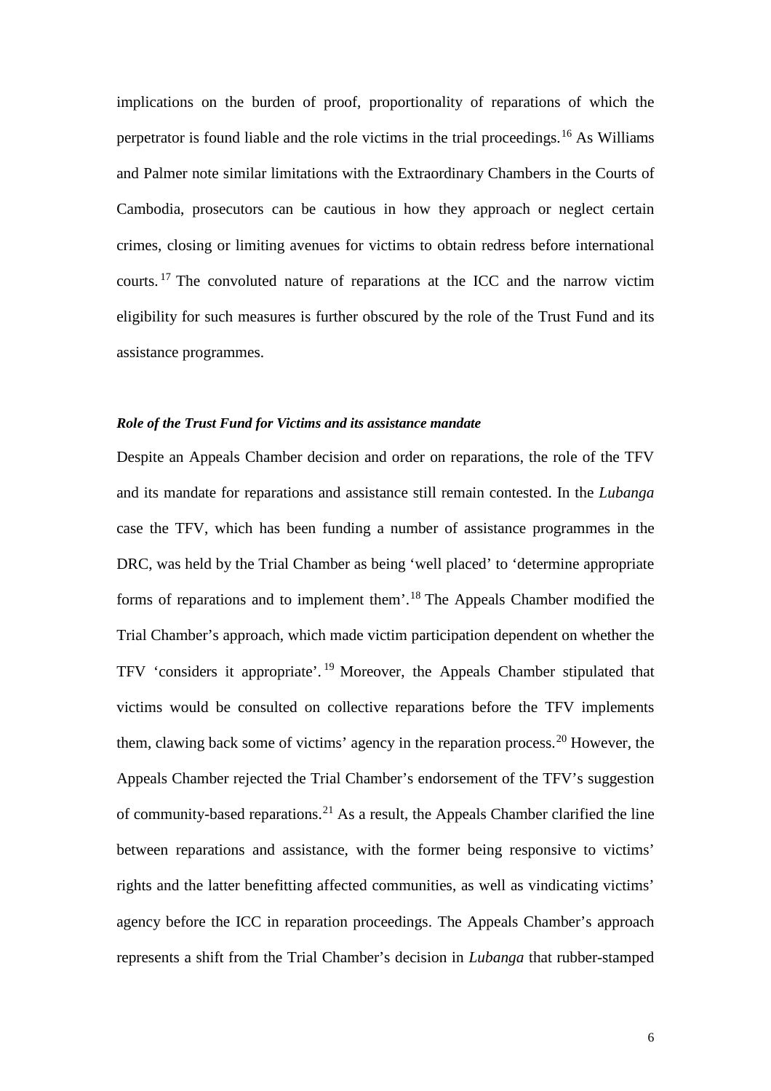implications on the burden of proof, proportionality of reparations of which the perpetrator is found liable and the role victims in the trial proceedings.[16](#page-9-0) As Williams and Palmer note similar limitations with the Extraordinary Chambers in the Courts of Cambodia, prosecutors can be cautious in how they approach or neglect certain crimes, closing or limiting avenues for victims to obtain redress before international courts. [17](#page-9-1) The convoluted nature of reparations at the ICC and the narrow victim eligibility for such measures is further obscured by the role of the Trust Fund and its assistance programmes.

## *Role of the Trust Fund for Victims and its assistance mandate*

<span id="page-6-1"></span><span id="page-6-0"></span>Despite an Appeals Chamber decision and order on reparations, the role of the TFV and its mandate for reparations and assistance still remain contested. In the *Lubanga*  case the TFV, which has been funding a number of assistance programmes in the DRC, was held by the Trial Chamber as being 'well placed' to 'determine appropriate forms of reparations and to implement them'.[18](#page-9-2) The Appeals Chamber modified the Trial Chamber's approach, which made victim participation dependent on whether the TFV 'considers it appropriate'. [19](#page-9-3) Moreover, the Appeals Chamber stipulated that victims would be consulted on collective reparations before the TFV implements them, clawing back some of victims' agency in the reparation process.<sup>[20](#page-9-4)</sup> However, the Appeals Chamber rejected the Trial Chamber's endorsement of the TFV's suggestion of community-based reparations.<sup>[21](#page-9-5)</sup> As a result, the Appeals Chamber clarified the line between reparations and assistance, with the former being responsive to victims' rights and the latter benefitting affected communities, as well as vindicating victims' agency before the ICC in reparation proceedings. The Appeals Chamber's approach represents a shift from the Trial Chamber's decision in *Lubanga* that rubber-stamped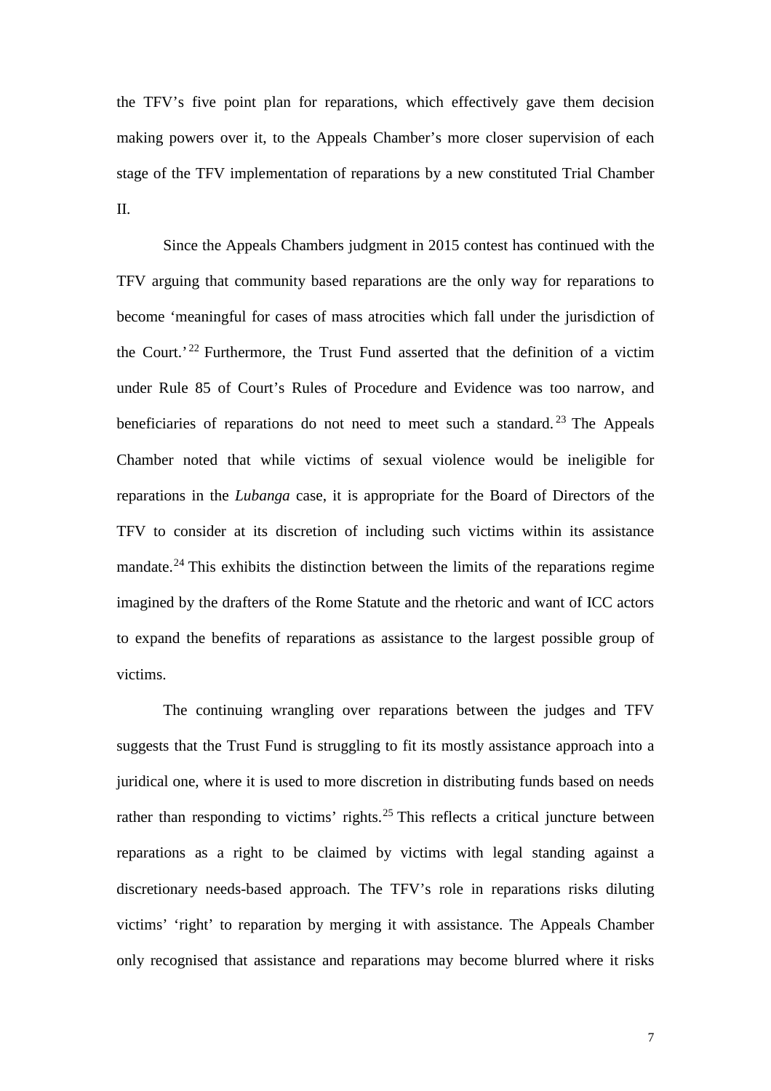the TFV's five point plan for reparations, which effectively gave them decision making powers over it, to the Appeals Chamber's more closer supervision of each stage of the TFV implementation of reparations by a new constituted Trial Chamber II.

Since the Appeals Chambers judgment in 2015 contest has continued with the TFV arguing that community based reparations are the only way for reparations to become 'meaningful for cases of mass atrocities which fall under the jurisdiction of the Court.' [22](#page-10-0) Furthermore, the Trust Fund asserted that the definition of a victim under Rule 85 of Court's Rules of Procedure and Evidence was too narrow, and beneficiaries of reparations do not need to meet such a standard.<sup>[23](#page-10-1)</sup> The Appeals Chamber noted that while victims of sexual violence would be ineligible for reparations in the *Lubanga* case, it is appropriate for the Board of Directors of the TFV to consider at its discretion of including such victims within its assistance mandate.[24](#page-10-2) This exhibits the distinction between the limits of the reparations regime imagined by the drafters of the Rome Statute and the rhetoric and want of ICC actors to expand the benefits of reparations as assistance to the largest possible group of victims.

<span id="page-7-3"></span><span id="page-7-2"></span><span id="page-7-1"></span><span id="page-7-0"></span>The continuing wrangling over reparations between the judges and TFV suggests that the Trust Fund is struggling to fit its mostly assistance approach into a juridical one, where it is used to more discretion in distributing funds based on needs rather than responding to victims' rights.<sup>[25](#page-10-3)</sup> This reflects a critical juncture between reparations as a right to be claimed by victims with legal standing against a discretionary needs-based approach. The TFV's role in reparations risks diluting victims' 'right' to reparation by merging it with assistance. The Appeals Chamber only recognised that assistance and reparations may become blurred where it risks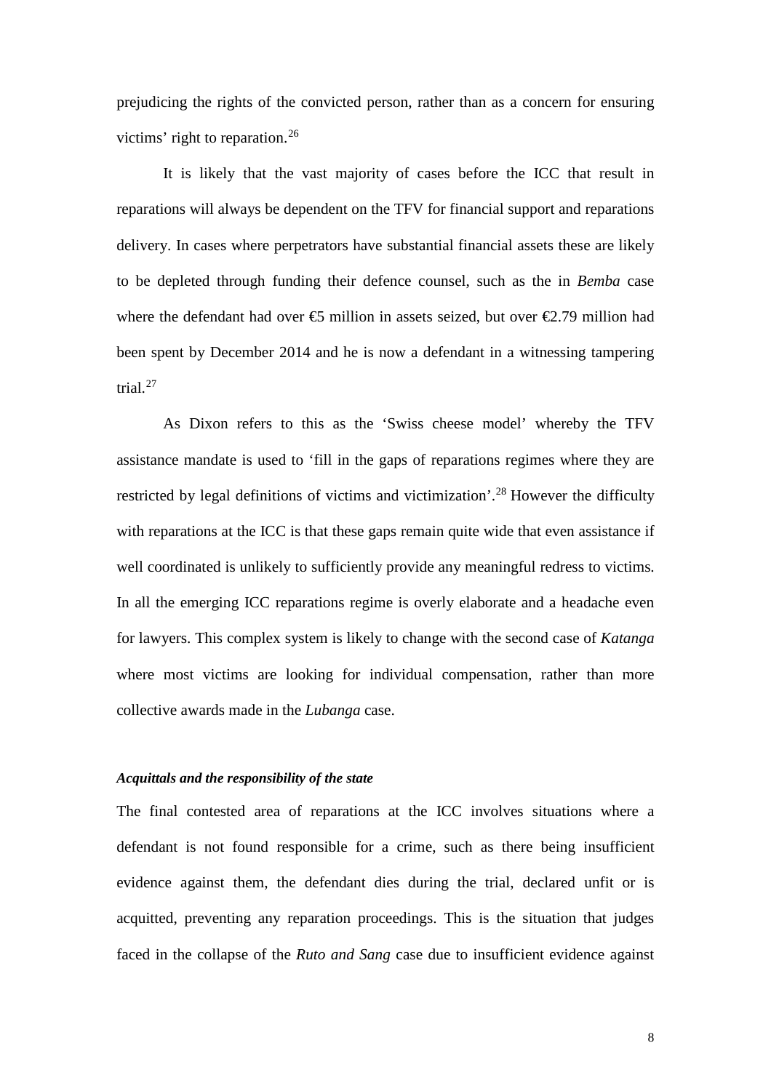prejudicing the rights of the convicted person, rather than as a concern for ensuring victims' right to reparation.<sup>[26](#page-11-0)</sup>

It is likely that the vast majority of cases before the ICC that result in reparations will always be dependent on the TFV for financial support and reparations delivery. In cases where perpetrators have substantial financial assets these are likely to be depleted through funding their defence counsel, such as the in *Bemba* case where the defendant had over  $\Theta$  million in assets seized, but over  $\Theta$ .79 million had been spent by December 2014 and he is now a defendant in a witnessing tampering trial.[27](#page-11-1)

As Dixon refers to this as the 'Swiss cheese model' whereby the TFV assistance mandate is used to 'fill in the gaps of reparations regimes where they are restricted by legal definitions of victims and victimization'.<sup>[28](#page-11-2)</sup> However the difficulty with reparations at the ICC is that these gaps remain quite wide that even assistance if well coordinated is unlikely to sufficiently provide any meaningful redress to victims. In all the emerging ICC reparations regime is overly elaborate and a headache even for lawyers. This complex system is likely to change with the second case of *Katanga* where most victims are looking for individual compensation, rather than more collective awards made in the *Lubanga* case.

#### <span id="page-8-0"></span>*Acquittals and the responsibility of the state*

<span id="page-8-6"></span><span id="page-8-5"></span><span id="page-8-4"></span><span id="page-8-3"></span><span id="page-8-2"></span><span id="page-8-1"></span>The final contested area of reparations at the ICC involves situations where a defendant is not found responsible for a crime, such as there being insufficient evidence against them, the defendant dies during the trial, declared unfit or is acquitted, preventing any reparation proceedings. This is the situation that judges faced in the collapse of the *Ruto and Sang* case due to insufficient evidence against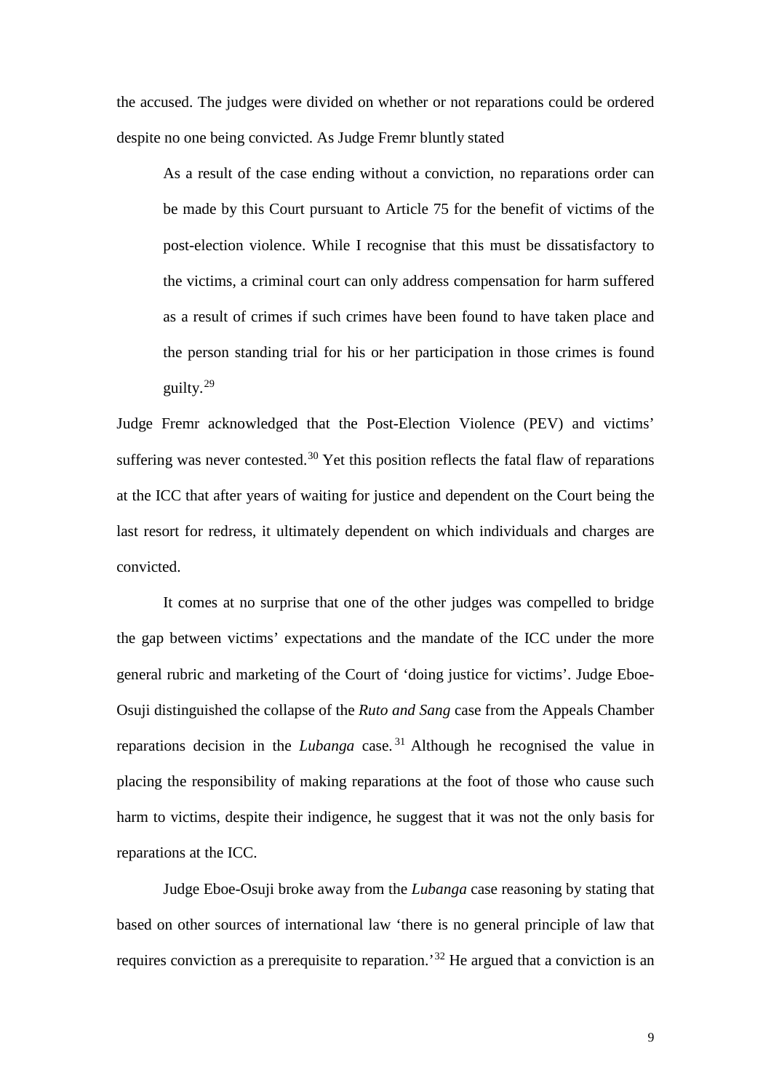<span id="page-9-5"></span><span id="page-9-4"></span><span id="page-9-3"></span><span id="page-9-2"></span><span id="page-9-1"></span><span id="page-9-0"></span>the accused. The judges were divided on whether or not reparations could be ordered despite no one being convicted. As Judge Fremr bluntly stated

As a result of the case ending without a conviction, no reparations order can be made by this Court pursuant to Article 75 for the benefit of victims of the post-election violence. While I recognise that this must be dissatisfactory to the victims, a criminal court can only address compensation for harm suffered as a result of crimes if such crimes have been found to have taken place and the person standing trial for his or her participation in those crimes is found guilty.[29](#page-12-0)

Judge Fremr acknowledged that the Post-Election Violence (PEV) and victims' suffering was never contested.<sup>[30](#page-12-1)</sup> Yet this position reflects the fatal flaw of reparations at the ICC that after years of waiting for justice and dependent on the Court being the last resort for redress, it ultimately dependent on which individuals and charges are convicted.

It comes at no surprise that one of the other judges was compelled to bridge the gap between victims' expectations and the mandate of the ICC under the more general rubric and marketing of the Court of 'doing justice for victims'. Judge Eboe-Osuji distinguished the collapse of the *Ruto and Sang* case from the Appeals Chamber reparations decision in the *Lubanga* case. [31](#page-12-2) Although he recognised the value in placing the responsibility of making reparations at the foot of those who cause such harm to victims, despite their indigence, he suggest that it was not the only basis for reparations at the ICC.

Judge Eboe-Osuji broke away from the *Lubanga* case reasoning by stating that based on other sources of international law 'there is no general principle of law that requires conviction as a prerequisite to reparation.'[32](#page-12-3) He argued that a conviction is an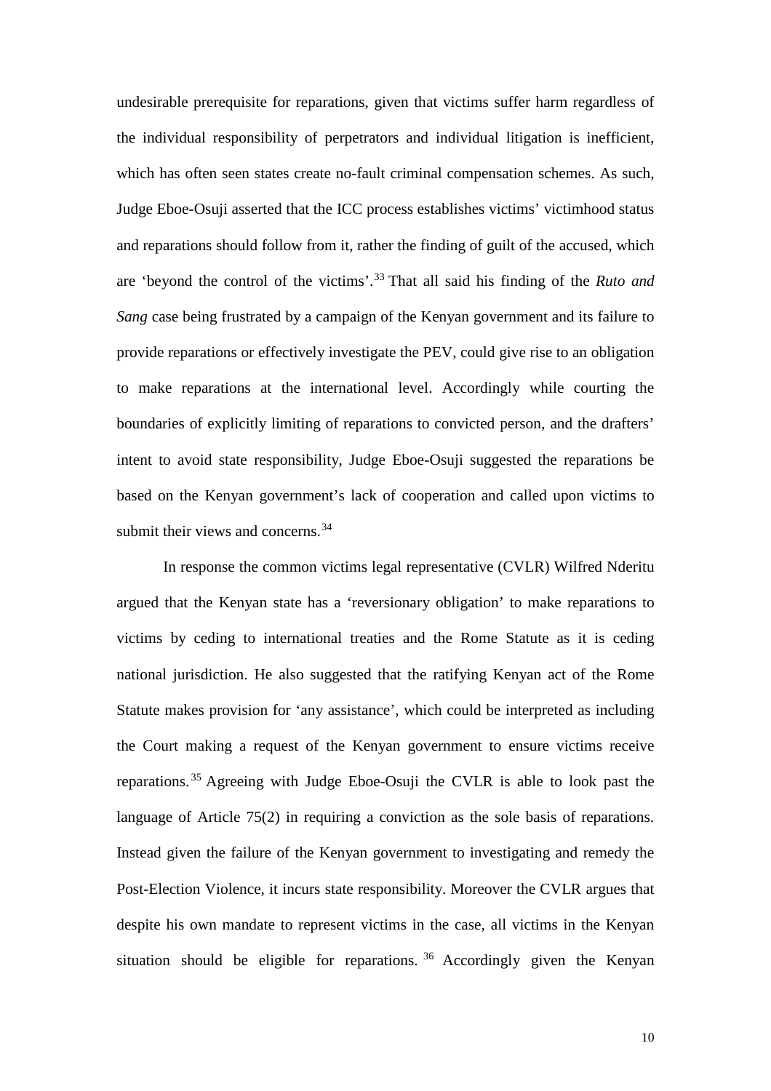<span id="page-10-3"></span><span id="page-10-2"></span><span id="page-10-1"></span><span id="page-10-0"></span>undesirable prerequisite for reparations, given that victims suffer harm regardless of the individual responsibility of perpetrators and individual litigation is inefficient, which has often seen states create no-fault criminal compensation schemes. As such, Judge Eboe-Osuji asserted that the ICC process establishes victims' victimhood status and reparations should follow from it, rather the finding of guilt of the accused, which are 'beyond the control of the victims'. [33](#page-13-0) That all said his finding of the *Ruto and Sang* case being frustrated by a campaign of the Kenyan government and its failure to provide reparations or effectively investigate the PEV, could give rise to an obligation to make reparations at the international level. Accordingly while courting the boundaries of explicitly limiting of reparations to convicted person, and the drafters' intent to avoid state responsibility, Judge Eboe-Osuji suggested the reparations be based on the Kenyan government's lack of cooperation and called upon victims to submit their views and concerns.<sup>[34](#page-13-1)</sup>

In response the common victims legal representative (CVLR) Wilfred Nderitu argued that the Kenyan state has a 'reversionary obligation' to make reparations to victims by ceding to international treaties and the Rome Statute as it is ceding national jurisdiction. He also suggested that the ratifying Kenyan act of the Rome Statute makes provision for 'any assistance', which could be interpreted as including the Court making a request of the Kenyan government to ensure victims receive reparations. [35](#page-13-2) Agreeing with Judge Eboe-Osuji the CVLR is able to look past the language of Article 75(2) in requiring a conviction as the sole basis of reparations. Instead given the failure of the Kenyan government to investigating and remedy the Post-Election Violence, it incurs state responsibility. Moreover the CVLR argues that despite his own mandate to represent victims in the case, all victims in the Kenyan situation should be eligible for reparations. [36](#page-13-3) Accordingly given the Kenyan

10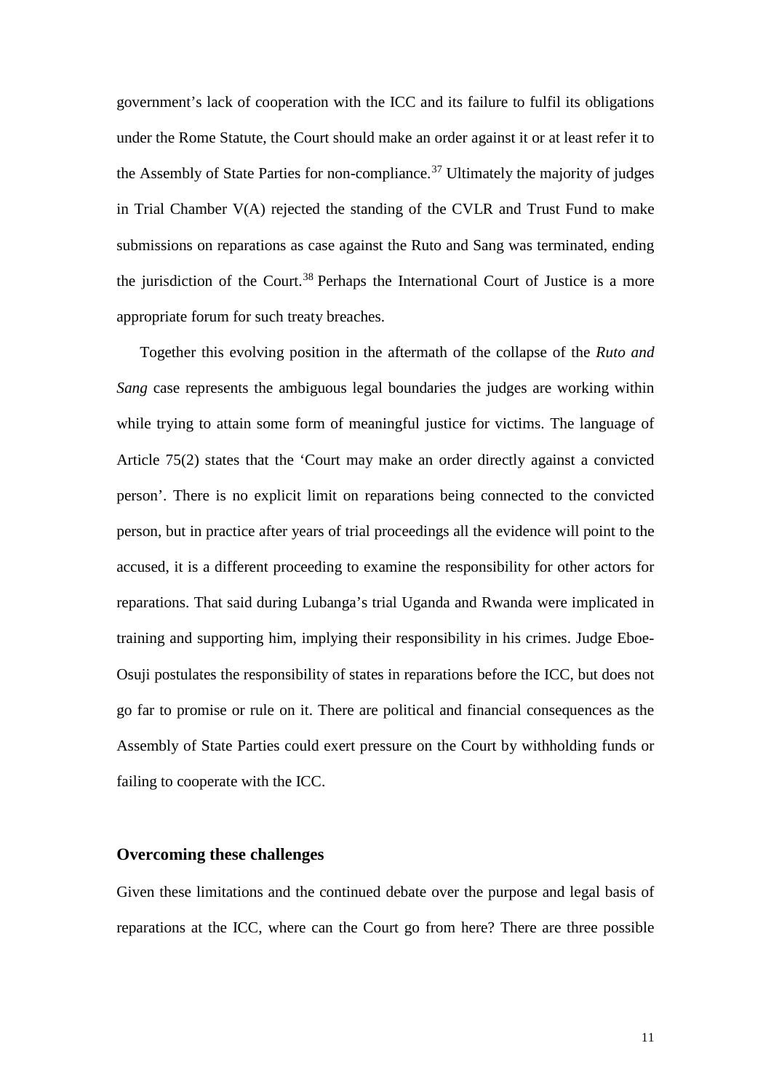government's lack of cooperation with the ICC and its failure to fulfil its obligations under the Rome Statute, the Court should make an order against it or at least refer it to the Assembly of State Parties for non-compliance.<sup>[37](#page-14-0)</sup> Ultimately the majority of judges in Trial Chamber V(A) rejected the standing of the CVLR and Trust Fund to make submissions on reparations as case against the Ruto and Sang was terminated, ending the jurisdiction of the Court.<sup>[38](#page-14-1)</sup> Perhaps the International Court of Justice is a more appropriate forum for such treaty breaches.

<span id="page-11-2"></span><span id="page-11-1"></span><span id="page-11-0"></span>Together this evolving position in the aftermath of the collapse of the *Ruto and Sang* case represents the ambiguous legal boundaries the judges are working within while trying to attain some form of meaningful justice for victims. The language of Article 75(2) states that the 'Court may make an order directly against a convicted person'. There is no explicit limit on reparations being connected to the convicted person, but in practice after years of trial proceedings all the evidence will point to the accused, it is a different proceeding to examine the responsibility for other actors for reparations. That said during Lubanga's trial Uganda and Rwanda were implicated in training and supporting him, implying their responsibility in his crimes. Judge Eboe-Osuji postulates the responsibility of states in reparations before the ICC, but does not go far to promise or rule on it. There are political and financial consequences as the Assembly of State Parties could exert pressure on the Court by withholding funds or failing to cooperate with the ICC.

#### **Overcoming these challenges**

Given these limitations and the continued debate over the purpose and legal basis of reparations at the ICC, where can the Court go from here? There are three possible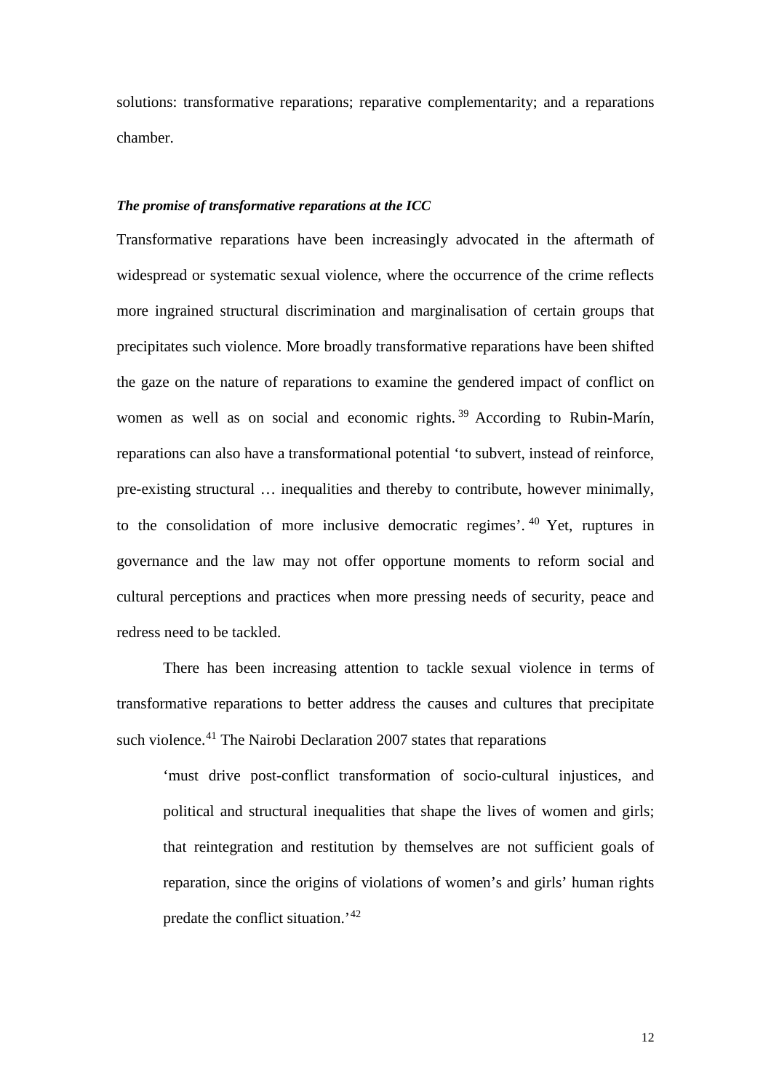solutions: transformative reparations; reparative complementarity; and a reparations chamber.

## *The promise of transformative reparations at the ICC*

<span id="page-12-0"></span>Transformative reparations have been increasingly advocated in the aftermath of widespread or systematic sexual violence, where the occurrence of the crime reflects more ingrained structural discrimination and marginalisation of certain groups that precipitates such violence. More broadly transformative reparations have been shifted the gaze on the nature of reparations to examine the gendered impact of conflict on women as well as on social and economic rights.<sup>[39](#page-14-2)</sup> According to Rubin-Marín, reparations can also have a transformational potential 'to subvert, instead of reinforce, pre-existing structural … inequalities and thereby to contribute, however minimally, to the consolidation of more inclusive democratic regimes'. [40](#page-14-3) Yet, ruptures in governance and the law may not offer opportune moments to reform social and cultural perceptions and practices when more pressing needs of security, peace and redress need to be tackled.

<span id="page-12-3"></span><span id="page-12-2"></span><span id="page-12-1"></span>There has been increasing attention to tackle sexual violence in terms of transformative reparations to better address the causes and cultures that precipitate such violence.<sup>[41](#page-14-4)</sup> The Nairobi Declaration 2007 states that reparations

'must drive post-conflict transformation of socio-cultural injustices, and political and structural inequalities that shape the lives of women and girls; that reintegration and restitution by themselves are not sufficient goals of reparation, since the origins of violations of women's and girls' human rights predate the conflict situation.'[42](#page-14-5)

12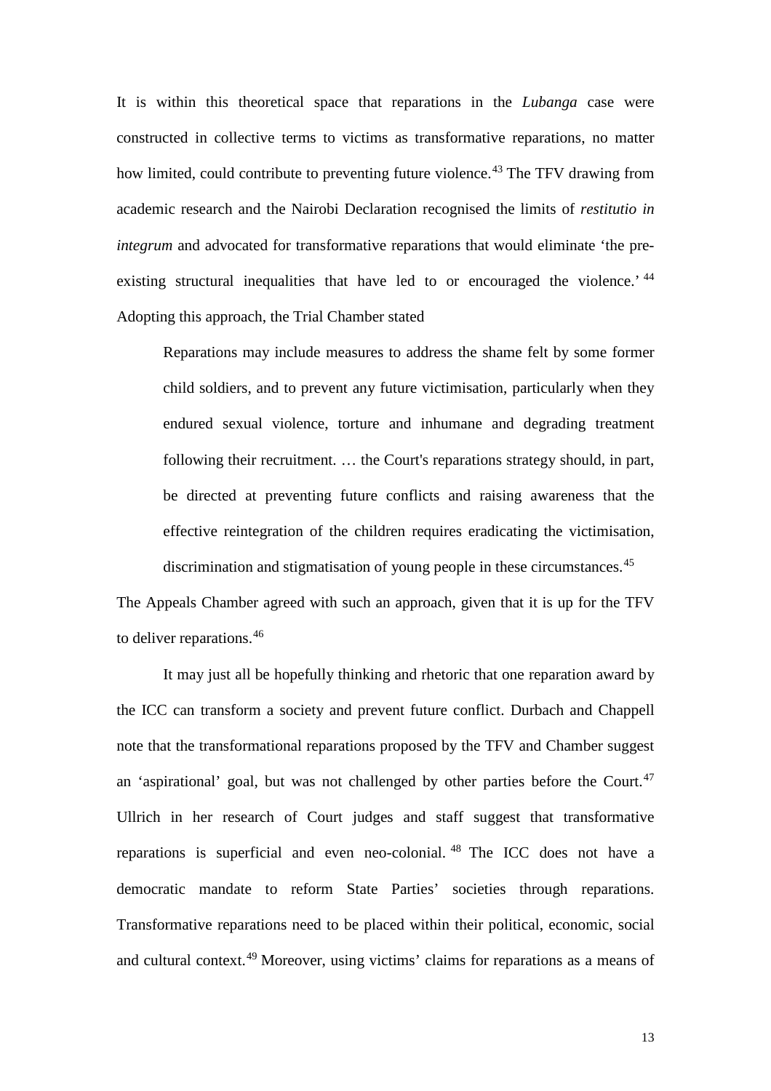It is within this theoretical space that reparations in the *Lubanga* case were constructed in collective terms to victims as transformative reparations, no matter how limited, could contribute to preventing future violence.<sup>[43](#page-15-0)</sup> The TFV drawing from academic research and the Nairobi Declaration recognised the limits of *restitutio in integrum* and advocated for transformative reparations that would eliminate 'the pre-existing structural inequalities that have led to or encouraged the violence.<sup>[44](#page-15-1)</sup> Adopting this approach, the Trial Chamber stated

Reparations may include measures to address the shame felt by some former child soldiers, and to prevent any future victimisation, particularly when they endured sexual violence, torture and inhumane and degrading treatment following their recruitment. … the Court's reparations strategy should, in part, be directed at preventing future conflicts and raising awareness that the effective reintegration of the children requires eradicating the victimisation, discrimination and stigmatisation of young people in these circumstances.<sup>[45](#page-15-2)</sup>

<span id="page-13-3"></span><span id="page-13-2"></span><span id="page-13-1"></span><span id="page-13-0"></span>The Appeals Chamber agreed with such an approach, given that it is up for the TFV to deliver reparations.<sup>[46](#page-15-3)</sup>

It may just all be hopefully thinking and rhetoric that one reparation award by the ICC can transform a society and prevent future conflict. Durbach and Chappell note that the transformational reparations proposed by the TFV and Chamber suggest an 'aspirational' goal, but was not challenged by other parties before the Court.<sup>[47](#page-15-4)</sup> Ullrich in her research of Court judges and staff suggest that transformative reparations is superficial and even neo-colonial. [48](#page-15-5) The ICC does not have a democratic mandate to reform State Parties' societies through reparations. Transformative reparations need to be placed within their political, economic, social and cultural context.<sup>[49](#page-15-6)</sup> Moreover, using victims' claims for reparations as a means of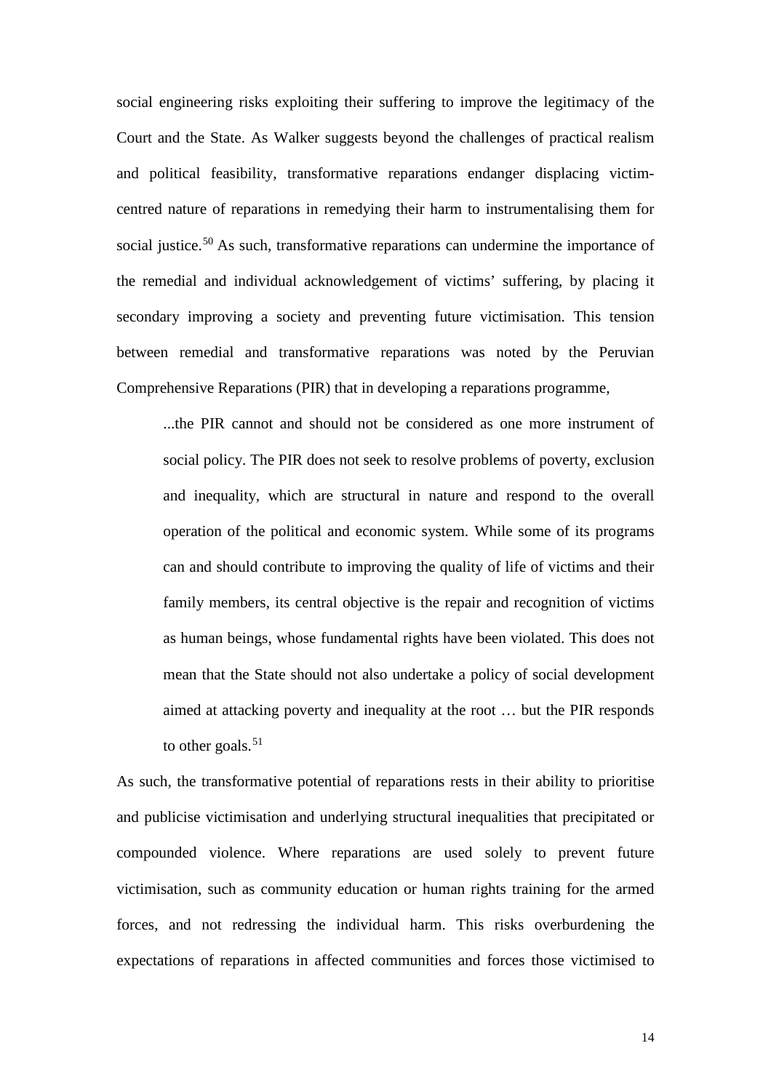social engineering risks exploiting their suffering to improve the legitimacy of the Court and the State. As Walker suggests beyond the challenges of practical realism and political feasibility, transformative reparations endanger displacing victimcentred nature of reparations in remedying their harm to instrumentalising them for social justice.<sup>[50](#page-16-0)</sup> As such, transformative reparations can undermine the importance of the remedial and individual acknowledgement of victims' suffering, by placing it secondary improving a society and preventing future victimisation. This tension between remedial and transformative reparations was noted by the Peruvian Comprehensive Reparations (PIR) that in developing a reparations programme,

<span id="page-14-0"></span>...the PIR cannot and should not be considered as one more instrument of social policy. The PIR does not seek to resolve problems of poverty, exclusion and inequality, which are structural in nature and respond to the overall operation of the political and economic system. While some of its programs can and should contribute to improving the quality of life of victims and their family members, its central objective is the repair and recognition of victims as human beings, whose fundamental rights have been violated. This does not mean that the State should not also undertake a policy of social development aimed at attacking poverty and inequality at the root … but the PIR responds to other goals. $51$ 

<span id="page-14-5"></span><span id="page-14-4"></span><span id="page-14-3"></span><span id="page-14-2"></span><span id="page-14-1"></span>As such, the transformative potential of reparations rests in their ability to prioritise and publicise victimisation and underlying structural inequalities that precipitated or compounded violence. Where reparations are used solely to prevent future victimisation, such as community education or human rights training for the armed forces, and not redressing the individual harm. This risks overburdening the expectations of reparations in affected communities and forces those victimised to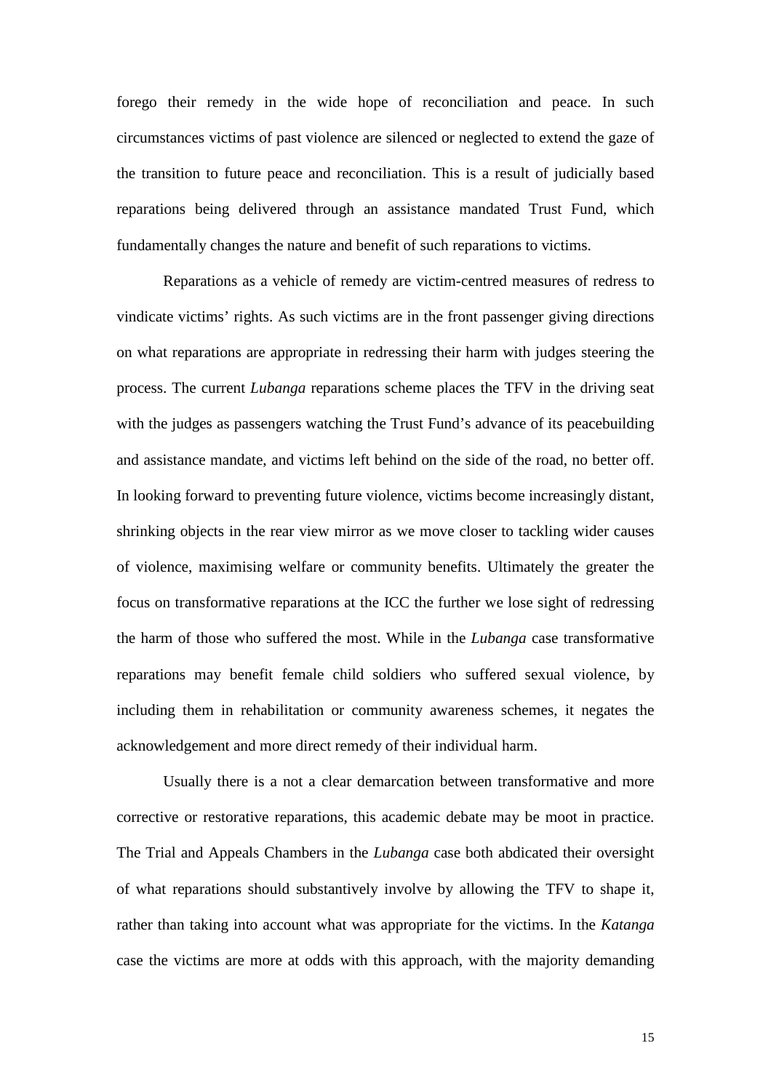<span id="page-15-6"></span><span id="page-15-5"></span>forego their remedy in the wide hope of reconciliation and peace. In such circumstances victims of past violence are silenced or neglected to extend the gaze of the transition to future peace and reconciliation. This is a result of judicially based reparations being delivered through an assistance mandated Trust Fund, which fundamentally changes the nature and benefit of such reparations to victims.

Reparations as a vehicle of remedy are victim-centred measures of redress to vindicate victims' rights. As such victims are in the front passenger giving directions on what reparations are appropriate in redressing their harm with judges steering the process. The current *Lubanga* reparations scheme places the TFV in the driving seat with the judges as passengers watching the Trust Fund's advance of its peacebuilding and assistance mandate, and victims left behind on the side of the road, no better off. In looking forward to preventing future violence, victims become increasingly distant, shrinking objects in the rear view mirror as we move closer to tackling wider causes of violence, maximising welfare or community benefits. Ultimately the greater the focus on transformative reparations at the ICC the further we lose sight of redressing the harm of those who suffered the most. While in the *Lubanga* case transformative reparations may benefit female child soldiers who suffered sexual violence, by including them in rehabilitation or community awareness schemes, it negates the acknowledgement and more direct remedy of their individual harm.

<span id="page-15-4"></span><span id="page-15-3"></span><span id="page-15-2"></span><span id="page-15-1"></span><span id="page-15-0"></span>Usually there is a not a clear demarcation between transformative and more corrective or restorative reparations, this academic debate may be moot in practice. The Trial and Appeals Chambers in the *Lubanga* case both abdicated their oversight of what reparations should substantively involve by allowing the TFV to shape it, rather than taking into account what was appropriate for the victims. In the *Katanga*  case the victims are more at odds with this approach, with the majority demanding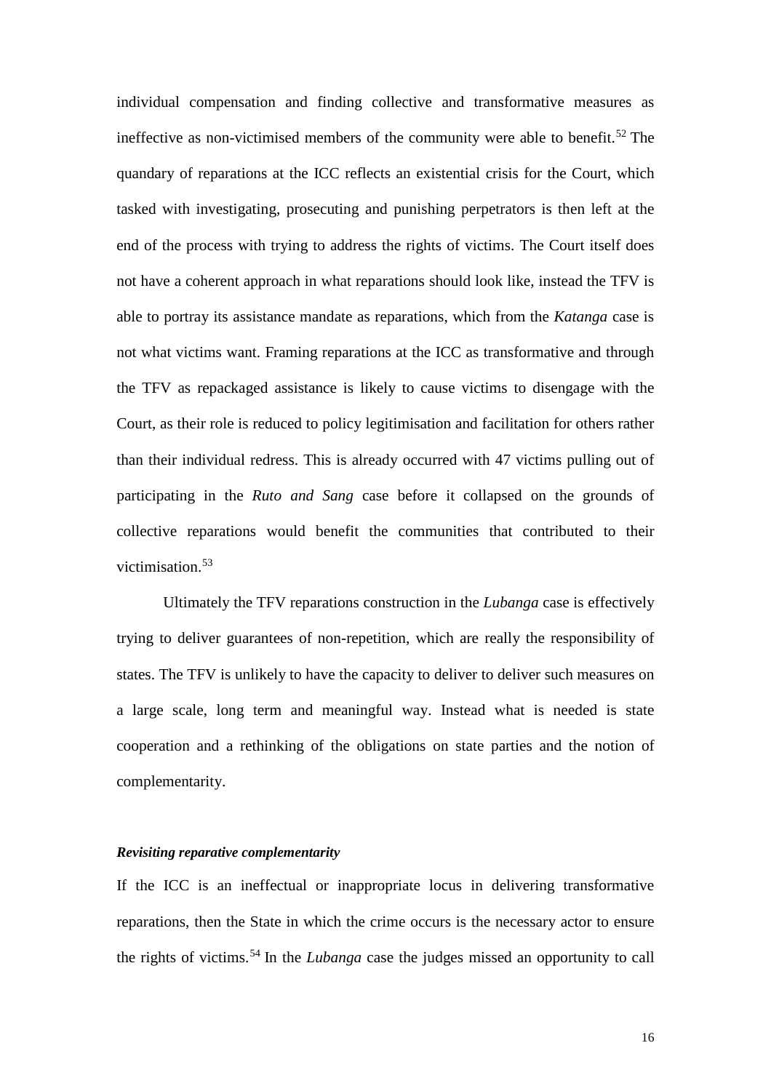<span id="page-16-1"></span><span id="page-16-0"></span>individual compensation and finding collective and transformative measures as ineffective as non-victimised members of the community were able to benefit.<sup>[52](#page-17-0)</sup> The quandary of reparations at the ICC reflects an existential crisis for the Court, which tasked with investigating, prosecuting and punishing perpetrators is then left at the end of the process with trying to address the rights of victims. The Court itself does not have a coherent approach in what reparations should look like, instead the TFV is able to portray its assistance mandate as reparations, which from the *Katanga* case is not what victims want. Framing reparations at the ICC as transformative and through the TFV as repackaged assistance is likely to cause victims to disengage with the Court, as their role is reduced to policy legitimisation and facilitation for others rather than their individual redress. This is already occurred with 47 victims pulling out of participating in the *Ruto and Sang* case before it collapsed on the grounds of collective reparations would benefit the communities that contributed to their victimisation.<sup>[53](#page-17-1)</sup>

Ultimately the TFV reparations construction in the *Lubanga* case is effectively trying to deliver guarantees of non-repetition, which are really the responsibility of states. The TFV is unlikely to have the capacity to deliver to deliver such measures on a large scale, long term and meaningful way. Instead what is needed is state cooperation and a rethinking of the obligations on state parties and the notion of complementarity.

#### *Revisiting reparative complementarity*

If the ICC is an ineffectual or inappropriate locus in delivering transformative reparations, then the State in which the crime occurs is the necessary actor to ensure the rights of victims.[54](#page-17-2) In the *Lubanga* case the judges missed an opportunity to call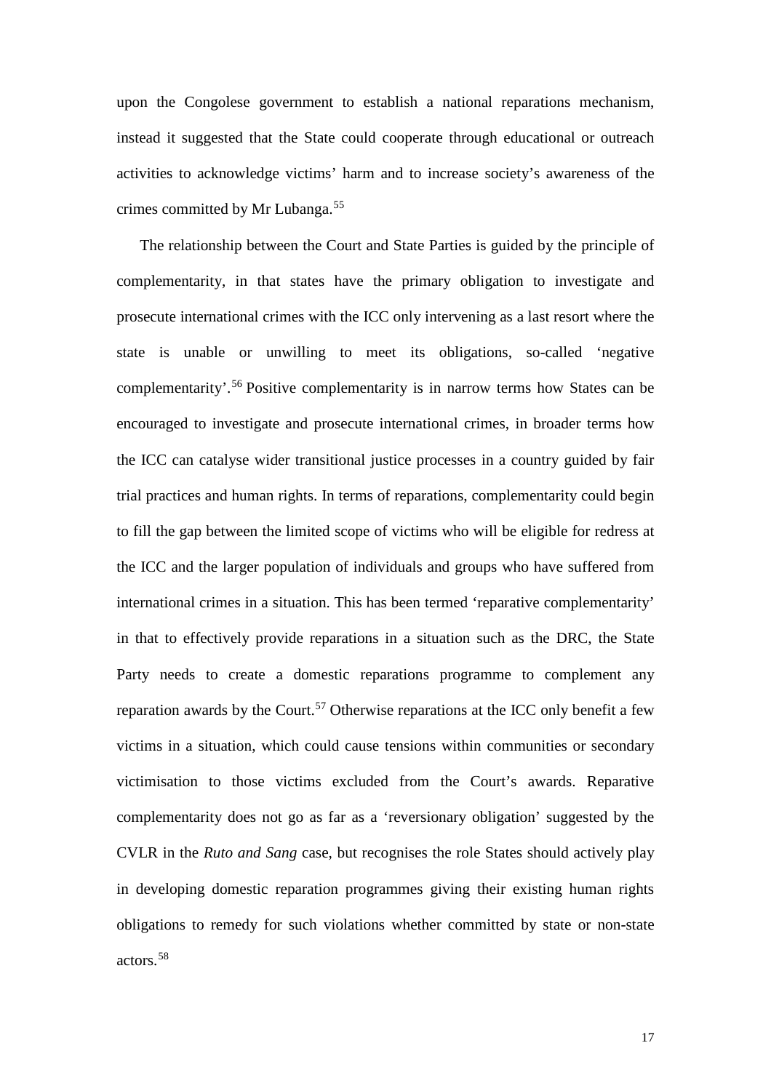upon the Congolese government to establish a national reparations mechanism, instead it suggested that the State could cooperate through educational or outreach activities to acknowledge victims' harm and to increase society's awareness of the crimes committed by Mr Lubanga.[55](#page-18-0)

<span id="page-17-2"></span><span id="page-17-1"></span><span id="page-17-0"></span>The relationship between the Court and State Parties is guided by the principle of complementarity, in that states have the primary obligation to investigate and prosecute international crimes with the ICC only intervening as a last resort where the state is unable or unwilling to meet its obligations, so-called 'negative complementarity'.[56](#page-18-1) Positive complementarity is in narrow terms how States can be encouraged to investigate and prosecute international crimes, in broader terms how the ICC can catalyse wider transitional justice processes in a country guided by fair trial practices and human rights. In terms of reparations, complementarity could begin to fill the gap between the limited scope of victims who will be eligible for redress at the ICC and the larger population of individuals and groups who have suffered from international crimes in a situation. This has been termed 'reparative complementarity' in that to effectively provide reparations in a situation such as the DRC, the State Party needs to create a domestic reparations programme to complement any reparation awards by the Court.<sup>[57](#page-18-2)</sup> Otherwise reparations at the ICC only benefit a few victims in a situation, which could cause tensions within communities or secondary victimisation to those victims excluded from the Court's awards. Reparative complementarity does not go as far as a 'reversionary obligation' suggested by the CVLR in the *Ruto and Sang* case, but recognises the role States should actively play in developing domestic reparation programmes giving their existing human rights obligations to remedy for such violations whether committed by state or non-state actors.[58](#page-18-3)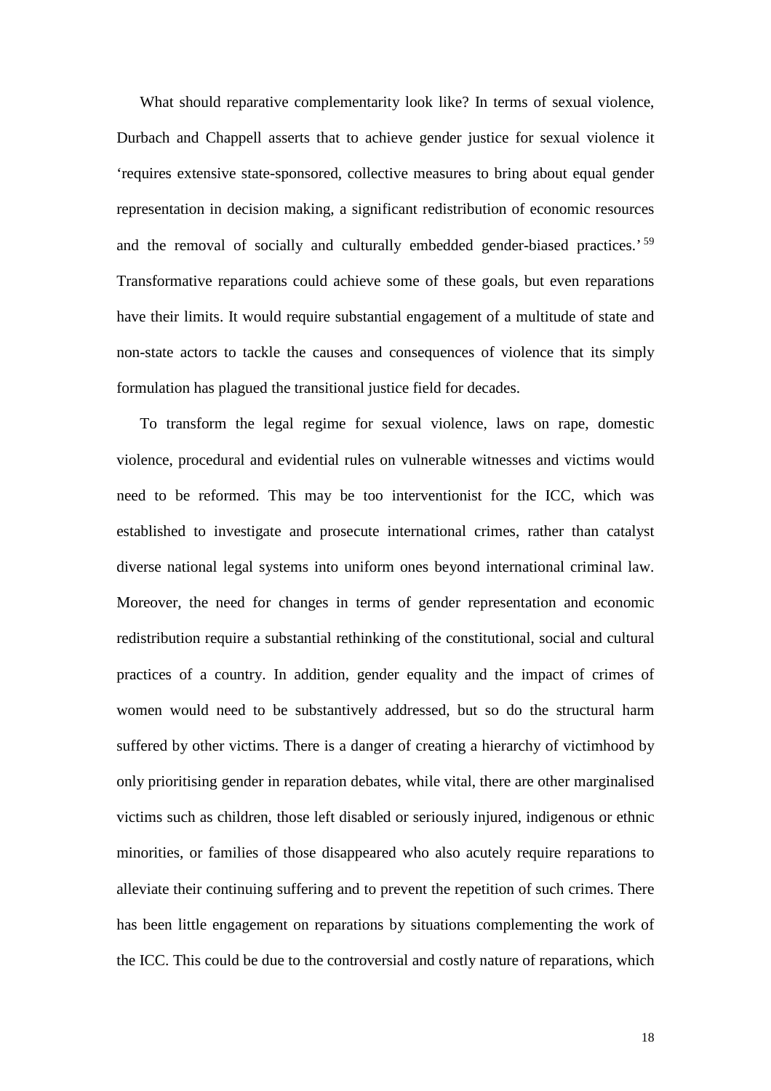What should reparative complementarity look like? In terms of sexual violence, Durbach and Chappell asserts that to achieve gender justice for sexual violence it 'requires extensive state-sponsored, collective measures to bring about equal gender representation in decision making, a significant redistribution of economic resources and the removal of socially and culturally embedded gender-biased practices.' [59](#page-19-0) Transformative reparations could achieve some of these goals, but even reparations have their limits. It would require substantial engagement of a multitude of state and non-state actors to tackle the causes and consequences of violence that its simply formulation has plagued the transitional justice field for decades.

<span id="page-18-3"></span><span id="page-18-2"></span><span id="page-18-1"></span><span id="page-18-0"></span>To transform the legal regime for sexual violence, laws on rape, domestic violence, procedural and evidential rules on vulnerable witnesses and victims would need to be reformed. This may be too interventionist for the ICC, which was established to investigate and prosecute international crimes, rather than catalyst diverse national legal systems into uniform ones beyond international criminal law. Moreover, the need for changes in terms of gender representation and economic redistribution require a substantial rethinking of the constitutional, social and cultural practices of a country. In addition, gender equality and the impact of crimes of women would need to be substantively addressed, but so do the structural harm suffered by other victims. There is a danger of creating a hierarchy of victimhood by only prioritising gender in reparation debates, while vital, there are other marginalised victims such as children, those left disabled or seriously injured, indigenous or ethnic minorities, or families of those disappeared who also acutely require reparations to alleviate their continuing suffering and to prevent the repetition of such crimes. There has been little engagement on reparations by situations complementing the work of the ICC. This could be due to the controversial and costly nature of reparations, which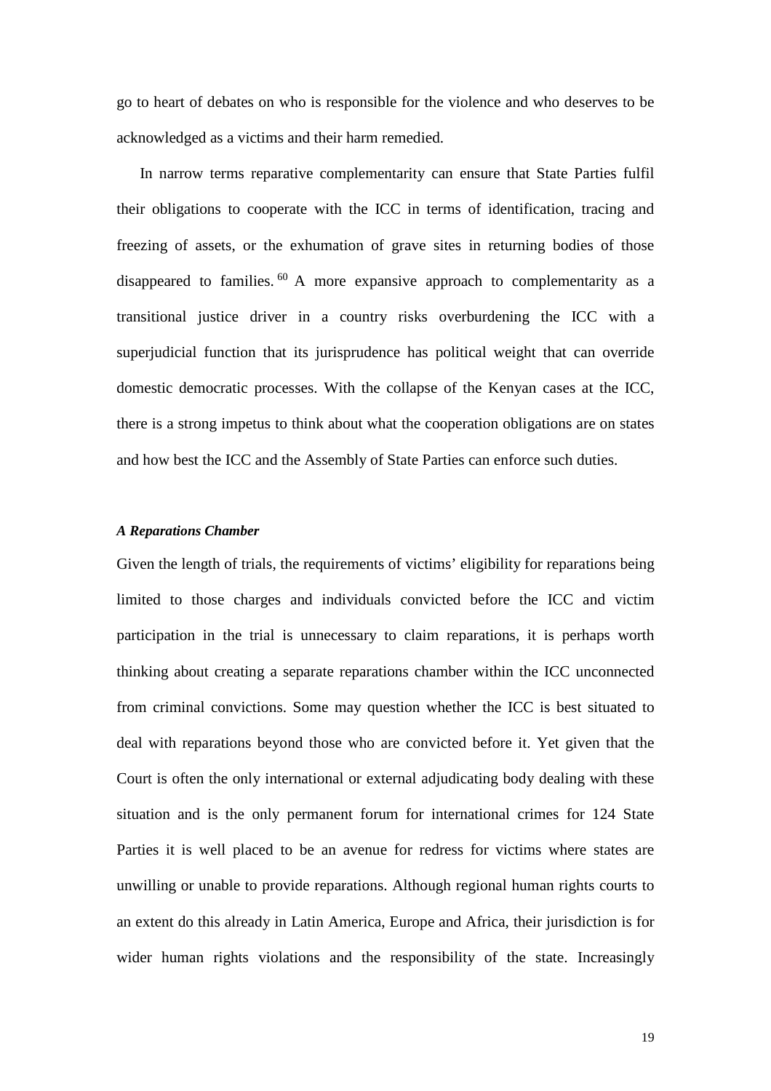go to heart of debates on who is responsible for the violence and who deserves to be acknowledged as a victims and their harm remedied.

In narrow terms reparative complementarity can ensure that State Parties fulfil their obligations to cooperate with the ICC in terms of identification, tracing and freezing of assets, or the exhumation of grave sites in returning bodies of those disappeared to families.  $60$  A more expansive approach to complementarity as a transitional justice driver in a country risks overburdening the ICC with a superjudicial function that its jurisprudence has political weight that can override domestic democratic processes. With the collapse of the Kenyan cases at the ICC, there is a strong impetus to think about what the cooperation obligations are on states and how best the ICC and the Assembly of State Parties can enforce such duties.

### <span id="page-19-1"></span><span id="page-19-0"></span>*A Reparations Chamber*

Given the length of trials, the requirements of victims' eligibility for reparations being limited to those charges and individuals convicted before the ICC and victim participation in the trial is unnecessary to claim reparations, it is perhaps worth thinking about creating a separate reparations chamber within the ICC unconnected from criminal convictions. Some may question whether the ICC is best situated to deal with reparations beyond those who are convicted before it. Yet given that the Court is often the only international or external adjudicating body dealing with these situation and is the only permanent forum for international crimes for 124 State Parties it is well placed to be an avenue for redress for victims where states are unwilling or unable to provide reparations. Although regional human rights courts to an extent do this already in Latin America, Europe and Africa, their jurisdiction is for wider human rights violations and the responsibility of the state. Increasingly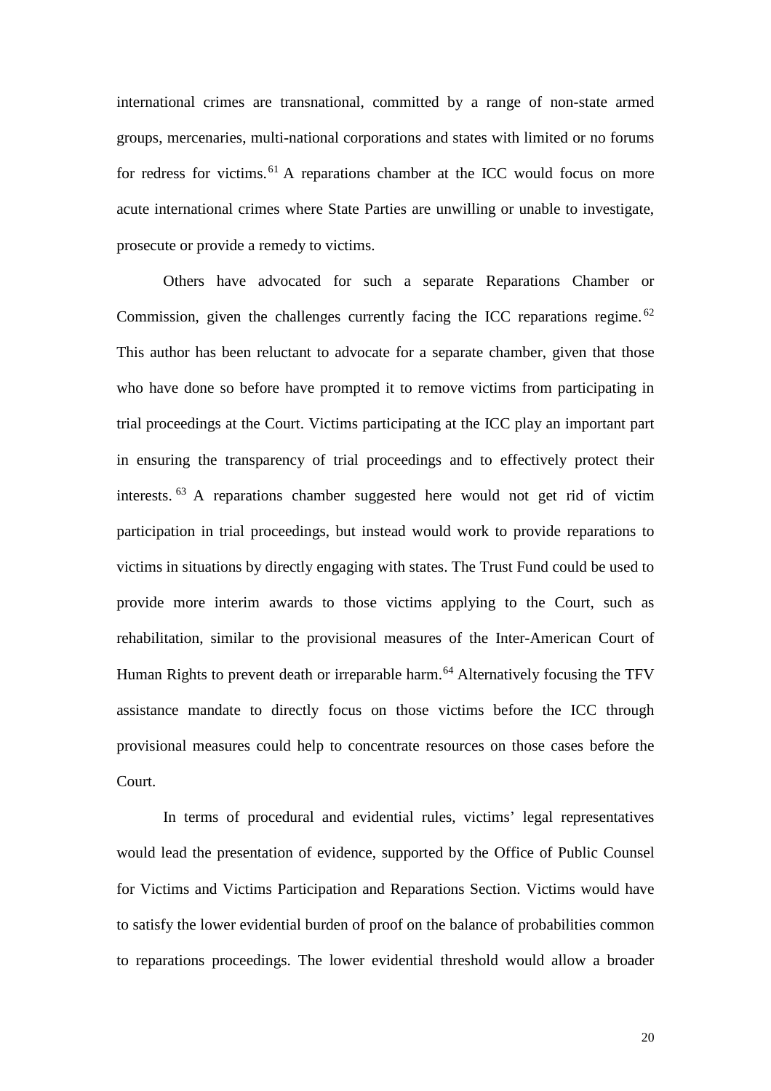international crimes are transnational, committed by a range of non-state armed groups, mercenaries, multi-national corporations and states with limited or no forums for redress for victims.<sup>[61](#page-20-0)</sup> A reparations chamber at the ICC would focus on more acute international crimes where State Parties are unwilling or unable to investigate, prosecute or provide a remedy to victims.

<span id="page-20-0"></span>Others have advocated for such a separate Reparations Chamber or Commission, given the challenges currently facing the ICC reparations regime.<sup>[62](#page-20-1)</sup> This author has been reluctant to advocate for a separate chamber, given that those who have done so before have prompted it to remove victims from participating in trial proceedings at the Court. Victims participating at the ICC play an important part in ensuring the transparency of trial proceedings and to effectively protect their interests. [63](#page-20-2) A reparations chamber suggested here would not get rid of victim participation in trial proceedings, but instead would work to provide reparations to victims in situations by directly engaging with states. The Trust Fund could be used to provide more interim awards to those victims applying to the Court, such as rehabilitation, similar to the provisional measures of the Inter-American Court of Human Rights to prevent death or irreparable harm.<sup>[64](#page-20-3)</sup> Alternatively focusing the TFV assistance mandate to directly focus on those victims before the ICC through provisional measures could help to concentrate resources on those cases before the Court.

<span id="page-20-3"></span><span id="page-20-2"></span><span id="page-20-1"></span>In terms of procedural and evidential rules, victims' legal representatives would lead the presentation of evidence, supported by the Office of Public Counsel for Victims and Victims Participation and Reparations Section. Victims would have to satisfy the lower evidential burden of proof on the balance of probabilities common to reparations proceedings. The lower evidential threshold would allow a broader

20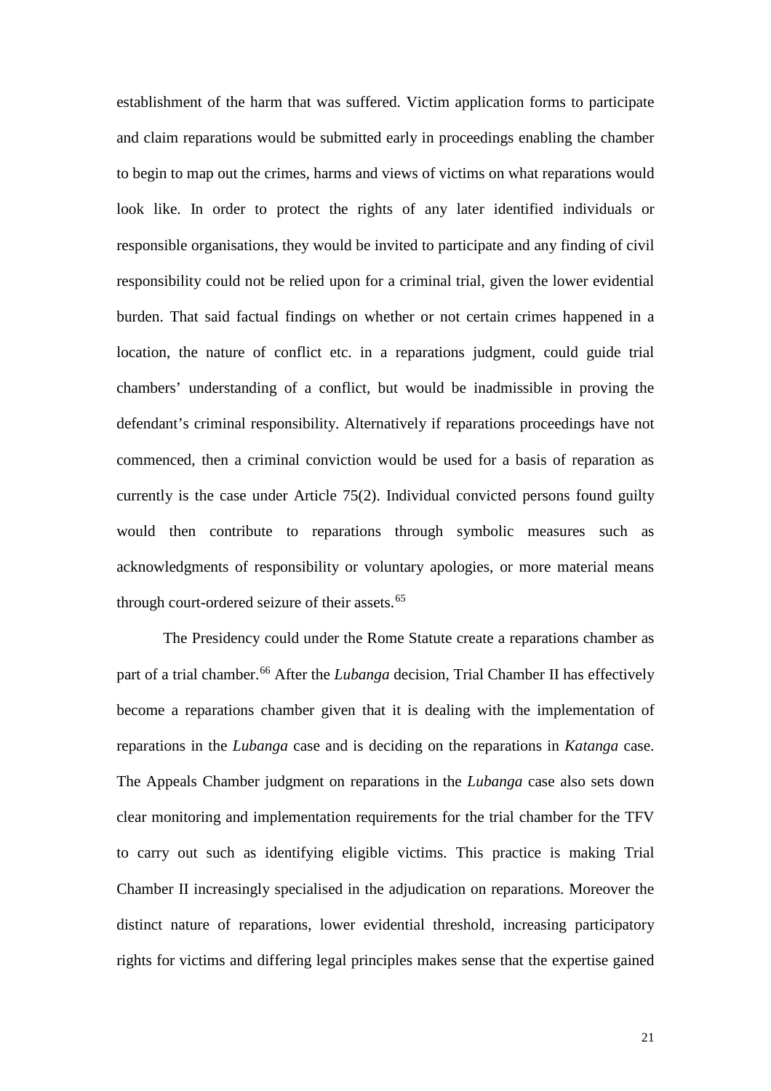establishment of the harm that was suffered. Victim application forms to participate and claim reparations would be submitted early in proceedings enabling the chamber to begin to map out the crimes, harms and views of victims on what reparations would look like. In order to protect the rights of any later identified individuals or responsible organisations, they would be invited to participate and any finding of civil responsibility could not be relied upon for a criminal trial, given the lower evidential burden. That said factual findings on whether or not certain crimes happened in a location, the nature of conflict etc. in a reparations judgment, could guide trial chambers' understanding of a conflict, but would be inadmissible in proving the defendant's criminal responsibility. Alternatively if reparations proceedings have not commenced, then a criminal conviction would be used for a basis of reparation as currently is the case under Article 75(2). Individual convicted persons found guilty would then contribute to reparations through symbolic measures such as acknowledgments of responsibility or voluntary apologies, or more material means through court-ordered seizure of their assets.<sup>[65](#page-21-0)</sup>

<span id="page-21-1"></span><span id="page-21-0"></span>The Presidency could under the Rome Statute create a reparations chamber as part of a trial chamber.<sup>[66](#page-21-1)</sup> After the *Lubanga* decision, Trial Chamber II has effectively become a reparations chamber given that it is dealing with the implementation of reparations in the *Lubanga* case and is deciding on the reparations in *Katanga* case. The Appeals Chamber judgment on reparations in the *Lubanga* case also sets down clear monitoring and implementation requirements for the trial chamber for the TFV to carry out such as identifying eligible victims. This practice is making Trial Chamber II increasingly specialised in the adjudication on reparations. Moreover the distinct nature of reparations, lower evidential threshold, increasing participatory rights for victims and differing legal principles makes sense that the expertise gained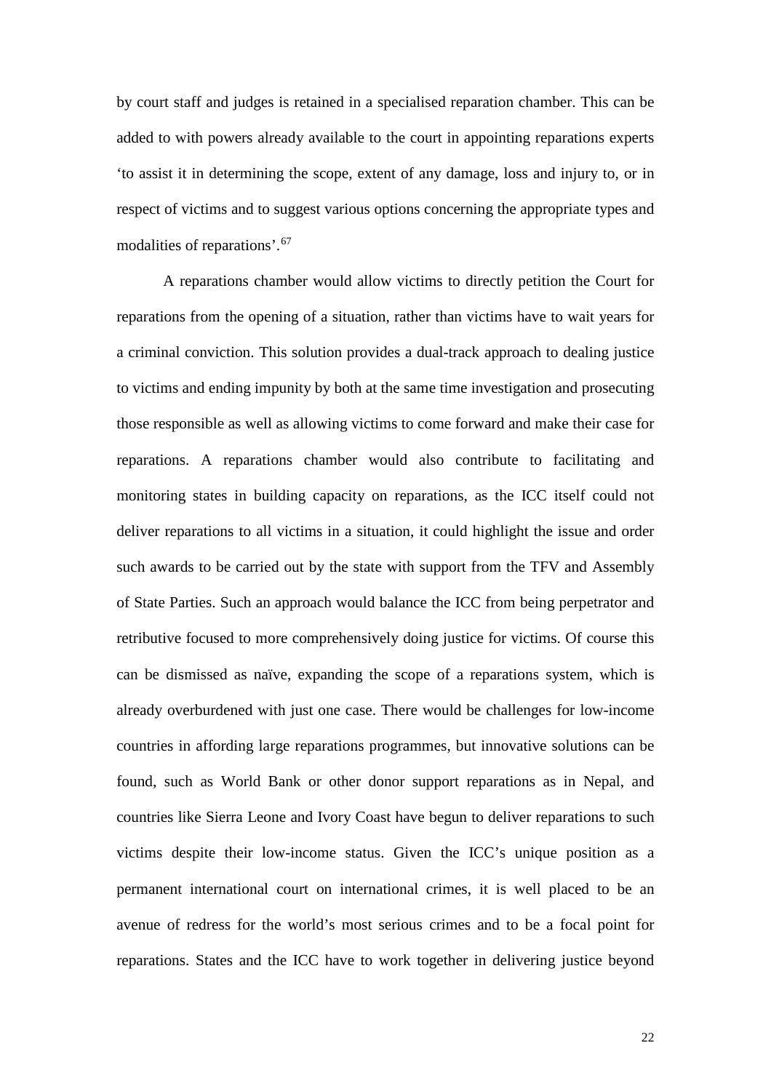by court staff and judges is retained in a specialised reparation chamber. This can be added to with powers already available to the court in appointing reparations experts 'to assist it in determining the scope, extent of any damage, loss and injury to, or in respect of victims and to suggest various options concerning the appropriate types and modalities of reparations'.[67](#page-22-0)

<span id="page-22-0"></span>A reparations chamber would allow victims to directly petition the Court for reparations from the opening of a situation, rather than victims have to wait years for a criminal conviction. This solution provides a dual-track approach to dealing justice to victims and ending impunity by both at the same time investigation and prosecuting those responsible as well as allowing victims to come forward and make their case for reparations. A reparations chamber would also contribute to facilitating and monitoring states in building capacity on reparations, as the ICC itself could not deliver reparations to all victims in a situation, it could highlight the issue and order such awards to be carried out by the state with support from the TFV and Assembly of State Parties. Such an approach would balance the ICC from being perpetrator and retributive focused to more comprehensively doing justice for victims. Of course this can be dismissed as naïve, expanding the scope of a reparations system, which is already overburdened with just one case. There would be challenges for low-income countries in affording large reparations programmes, but innovative solutions can be found, such as World Bank or other donor support reparations as in Nepal, and countries like Sierra Leone and Ivory Coast have begun to deliver reparations to such victims despite their low-income status. Given the ICC's unique position as a permanent international court on international crimes, it is well placed to be an avenue of redress for the world's most serious crimes and to be a focal point for reparations. States and the ICC have to work together in delivering justice beyond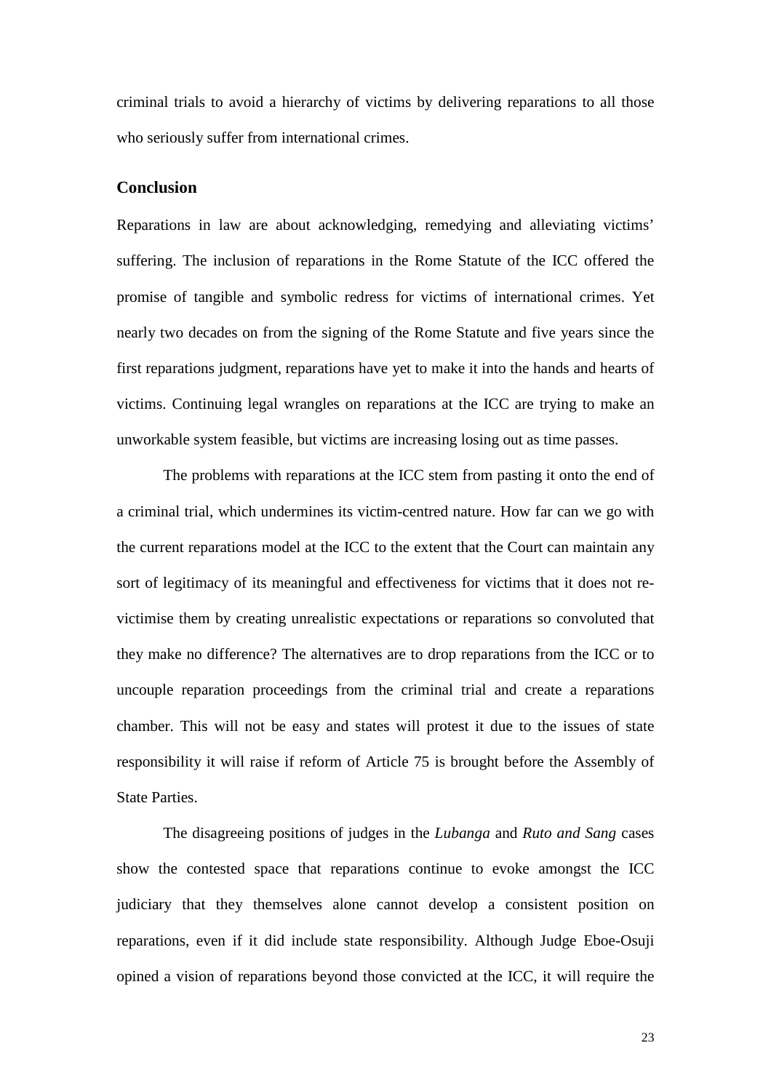criminal trials to avoid a hierarchy of victims by delivering reparations to all those who seriously suffer from international crimes.

## **Conclusion**

Reparations in law are about acknowledging, remedying and alleviating victims' suffering. The inclusion of reparations in the Rome Statute of the ICC offered the promise of tangible and symbolic redress for victims of international crimes. Yet nearly two decades on from the signing of the Rome Statute and five years since the first reparations judgment, reparations have yet to make it into the hands and hearts of victims. Continuing legal wrangles on reparations at the ICC are trying to make an unworkable system feasible, but victims are increasing losing out as time passes.

The problems with reparations at the ICC stem from pasting it onto the end of a criminal trial, which undermines its victim-centred nature. How far can we go with the current reparations model at the ICC to the extent that the Court can maintain any sort of legitimacy of its meaningful and effectiveness for victims that it does not revictimise them by creating unrealistic expectations or reparations so convoluted that they make no difference? The alternatives are to drop reparations from the ICC or to uncouple reparation proceedings from the criminal trial and create a reparations chamber. This will not be easy and states will protest it due to the issues of state responsibility it will raise if reform of Article 75 is brought before the Assembly of State Parties.

The disagreeing positions of judges in the *Lubanga* and *Ruto and Sang* cases show the contested space that reparations continue to evoke amongst the ICC judiciary that they themselves alone cannot develop a consistent position on reparations, even if it did include state responsibility. Although Judge Eboe-Osuji opined a vision of reparations beyond those convicted at the ICC, it will require the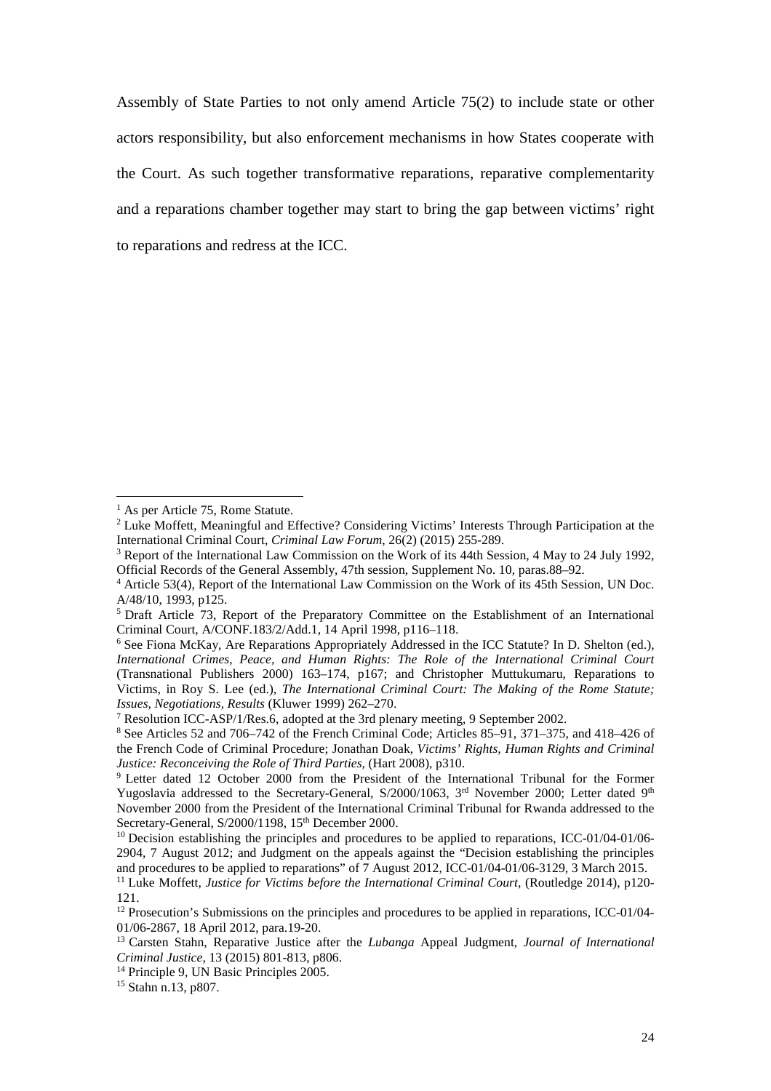Assembly of State Parties to not only amend Article 75(2) to include state or other actors responsibility, but also enforcement mechanisms in how States cooperate with the Court. As such together transformative reparations, reparative complementarity and a reparations chamber together may start to bring the gap between victims' right to reparations and redress at the ICC.

 $<sup>1</sup>$  As per Article 75, Rome Statute.</sup>

<sup>&</sup>lt;sup>2</sup> Luke Moffett, Meaningful and Effective? Considering Victims' Interests Through Participation at the International Criminal Court, *Criminal Law Forum*, 26(2) (2015) 255-289.

<sup>3</sup> Report of the International Law Commission on the Work of its 44th Session, 4 May to 24 July 1992, Official Records of the General Assembly, 47th session, Supplement No. 10, paras.88–92.

<sup>4</sup> Article 53(4), Report of the International Law Commission on the Work of its 45th Session, UN Doc. A/48/10, 1993, p125.

<sup>&</sup>lt;sup>5</sup> Draft Article 73, Report of the Preparatory Committee on the Establishment of an International Criminal Court, A/CONF.183/2/Add.1, 14 April 1998, p116–118.

<sup>6</sup> See Fiona McKay, Are Reparations Appropriately Addressed in the ICC Statute? In D. Shelton (ed.), *International Crimes, Peace, and Human Rights: The Role of the International Criminal Court* (Transnational Publishers 2000) 163–174, p167; and Christopher Muttukumaru, Reparations to Victims, in Roy S. Lee (ed.), *The International Criminal Court: The Making of the Rome Statute; Issues, Negotiations, Results* (Kluwer 1999) 262–270.

<sup>7</sup> Resolution ICC-ASP/1/Res.6, adopted at the 3rd plenary meeting, 9 September 2002.

<sup>8</sup> See Articles 52 and 706–742 of the French Criminal Code; Articles 85–91, 371–375, and 418–426 of the French Code of Criminal Procedure; Jonathan Doak, *Victims' Rights, Human Rights and Criminal Justice: Reconceiving the Role of Third Parties,* (Hart 2008), p310.

<sup>9</sup> Letter dated 12 October 2000 from the President of the International Tribunal for the Former Yugoslavia addressed to the Secretary-General, S/2000/1063,  $3<sup>rd</sup>$  November 2000; Letter dated  $9<sup>th</sup>$ November 2000 from the President of the International Criminal Tribunal for Rwanda addressed to the Secretary-General, S/2000/1198, 15<sup>th</sup> December 2000.

<sup>&</sup>lt;sup>10</sup> Decision establishing the principles and procedures to be applied to reparations, ICC-01/04-01/06-2904, 7 August 2012; and Judgment on the appeals against the "Decision establishing the principles and procedures to be applied to reparations" of 7 August 2012, ICC-01/04-01/06-3129, 3 March 2015.

<sup>&</sup>lt;sup>11</sup> Luke Moffett, *Justice for Victims before the International Criminal Court*, (Routledge 2014), p120-121.

<sup>&</sup>lt;sup>12</sup> Prosecution's Submissions on the principles and procedures to be applied in reparations, ICC-01/04-01/06-2867, 18 April 2012, para.19-20.

<sup>13</sup> Carsten Stahn, Reparative Justice after the *Lubanga* Appeal Judgment, *Journal of International Criminal Justice,* 13 (2015) 801-813, p806.

<sup>&</sup>lt;sup>14</sup> Principle 9, UN Basic Principles 2005.

<sup>15</sup> Stahn n.13, p807.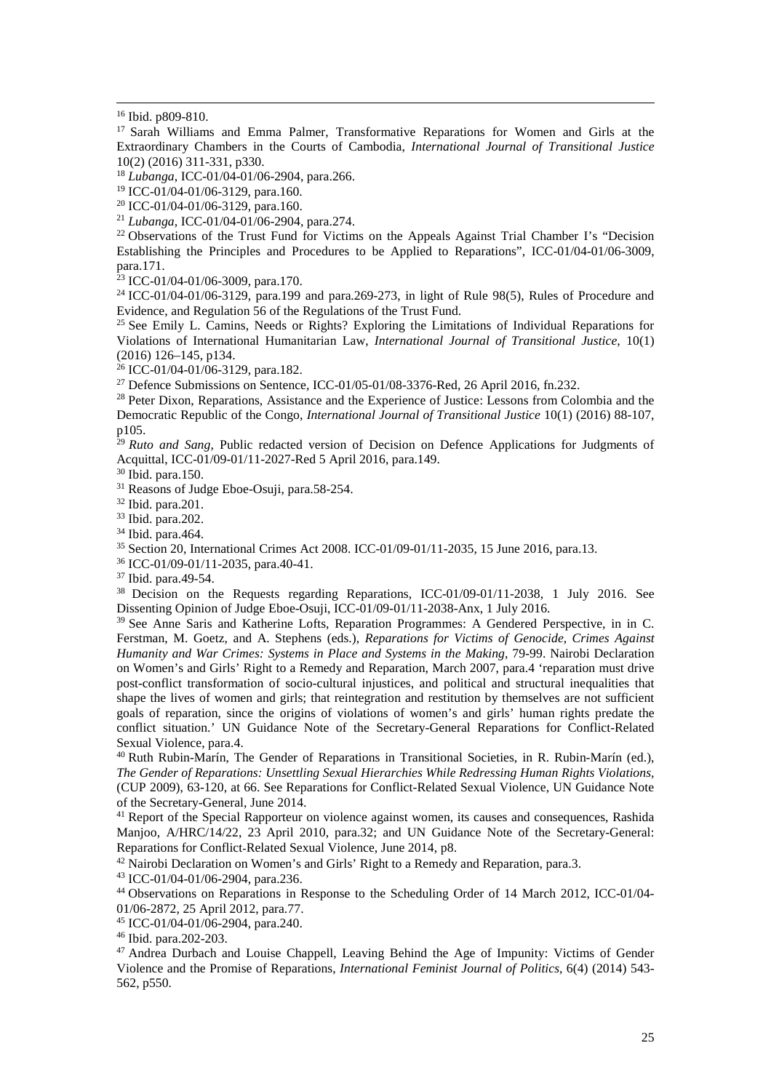<sup>17</sup> Sarah Williams and Emma Palmer, Transformative Reparations for Women and Girls at the Extraordinary Chambers in the Courts of Cambodia, *International Journal of Transitional Justice*  10(2) (2016) 311-331, p330.

<sup>18</sup> *Lubanga*, ICC-01/04-01/06-2904, para.266.

<sup>19</sup> ICC-01/04-01/06-3129, para.160.

<sup>21</sup> *Lubanga*, ICC-01/04-01/06-2904, para.274.

<sup>22</sup> Observations of the Trust Fund for Victims on the Appeals Against Trial Chamber I's "Decision Establishing the Principles and Procedures to be Applied to Reparations", ICC-01/04-01/06-3009, para.171.

 $23$  ICC-01/04-01/06-3009, para.170.

<sup>24</sup> ICC-01/04-01/06-3129, para.199 and para.269-273, in light of Rule 98(5), Rules of Procedure and Evidence, and Regulation 56 of the Regulations of the Trust Fund.

<sup>25</sup> See Emily L. Camins, Needs or Rights? Exploring the Limitations of Individual Reparations for Violations of International Humanitarian Law, *International Journal of Transitional Justice*, 10(1) (2016) 126–145, p134.

 $26$  ICC-01/04-01/06-3129, para.182.

<sup>27</sup> Defence Submissions on Sentence, ICC-01/05-01/08-3376-Red, 26 April 2016, fn.232.

<sup>28</sup> Peter Dixon, Reparations, Assistance and the Experience of Justice: Lessons from Colombia and the Democratic Republic of the Congo, *International Journal of Transitional Justice* 10(1) (2016) 88-107, p105.

<sup>29</sup> *Ruto and Sang*, Public redacted version of Decision on Defence Applications for Judgments of Acquittal, ICC-01/09-01/11-2027-Red 5 April 2016, para.149.

<sup>30</sup> Ibid. para.150.

<sup>31</sup> Reasons of Judge Eboe-Osuji, para.58-254.

<sup>32</sup> Ibid. para.201.

<sup>33</sup> Ibid. para.202.

<sup>34</sup> Ibid. para.464.

<sup>35</sup> Section 20, International Crimes Act 2008. ICC-01/09-01/11-2035, 15 June 2016, para.13.

<sup>36</sup> ICC-01/09-01/11-2035, para.40-41.

<sup>37</sup> Ibid. para.49-54.

<sup>38</sup> Decision on the Requests regarding Reparations, ICC-01/09-01/11-2038, 1 July 2016. See Dissenting Opinion of Judge Eboe-Osuji, ICC-01/09-01/11-2038-Anx, 1 July 2016.

<sup>39</sup> See Anne Saris and Katherine Lofts, Reparation Programmes: A Gendered Perspective, in in C. Ferstman, M. Goetz, and A. Stephens (eds.), *Reparations for Victims of Genocide, Crimes Against Humanity and War Crimes: Systems in Place and Systems in the Making*, 79-99. Nairobi Declaration on Women's and Girls' Right to a Remedy and Reparation, March 2007, para.4 'reparation must drive post-conflict transformation of socio-cultural injustices, and political and structural inequalities that shape the lives of women and girls; that reintegration and restitution by themselves are not sufficient goals of reparation, since the origins of violations of women's and girls' human rights predate the conflict situation.' UN Guidance Note of the Secretary-General Reparations for Conflict-Related Sexual Violence, para.4.

<sup>40</sup> Ruth Rubin-Marín, The Gender of Reparations in Transitional Societies, in R. Rubin-Marín (ed.), *The Gender of Reparations: Unsettling Sexual Hierarchies While Redressing Human Rights Violations,* (CUP 2009), 63-120, at 66. See Reparations for Conflict-Related Sexual Violence, UN Guidance Note of the Secretary-General, June 2014.

<sup>41</sup> Report of the Special Rapporteur on violence against women, its causes and consequences, Rashida Manjoo, A/HRC/14/22, 23 April 2010, para.32; and UN Guidance Note of the Secretary-General: Reparations for Conflict‐Related Sexual Violence, June 2014, p8.

<sup>42</sup> Nairobi Declaration on Women's and Girls' Right to a Remedy and Reparation, para.3.

<sup>43</sup> ICC-01/04-01/06-2904, para.236.

<sup>44</sup> Observations on Reparations in Response to the Scheduling Order of 14 March 2012, ICC-01/04- 01/06-2872, 25 April 2012, para.77.

<sup>45</sup> ICC-01/04-01/06-2904, para.240.

<sup>46</sup> Ibid. para.202-203.

<sup>47</sup> Andrea Durbach and Louise Chappell, Leaving Behind the Age of Impunity: Victims of Gender Violence and the Promise of Reparations, *International Feminist Journal of Politics*, 6(4) (2014) 543- 562, p550.

<sup>&</sup>lt;sup>16</sup> Ibid. p809-810.

<sup>20</sup> ICC-01/04-01/06-3129, para.160.